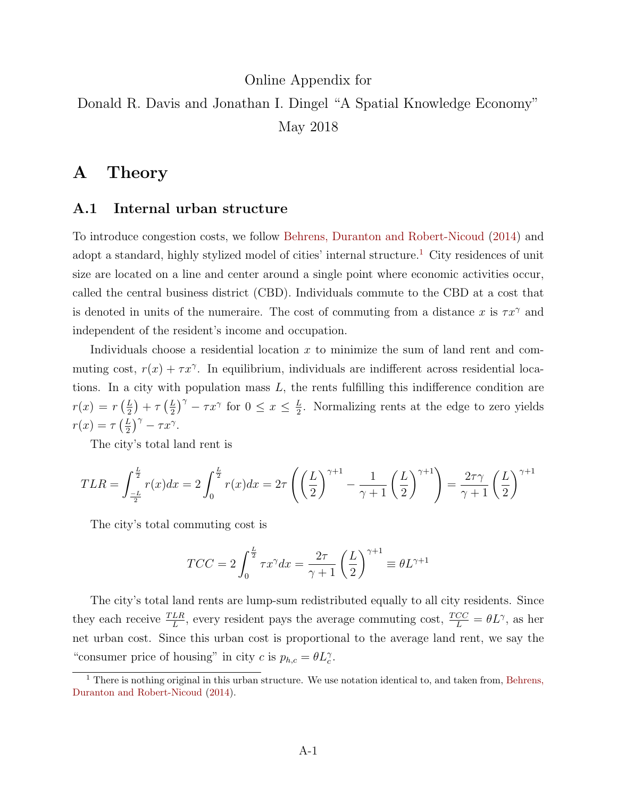# Online Appendix for Donald R. Davis and Jonathan I. Dingel "A Spatial Knowledge Economy" May 2018

## A Theory

## A.1 Internal urban structure

To introduce congestion costs, we follow [Behrens, Duranton and Robert-Nicoud](#page-24-0) [\(2014\)](#page-24-0) and adopt a standard, highly stylized model of cities' internal structure.<sup>[1](#page-0-0)</sup> City residences of unit size are located on a line and center around a single point where economic activities occur, called the central business district (CBD). Individuals commute to the CBD at a cost that is denoted in units of the numeraire. The cost of commuting from a distance x is  $\tau x^{\gamma}$  and independent of the resident's income and occupation.

Individuals choose a residential location x to minimize the sum of land rent and commuting cost,  $r(x) + \tau x^{\gamma}$ . In equilibrium, individuals are indifferent across residential locations. In a city with population mass  $L$ , the rents fulfilling this indifference condition are  $r(x) = r\left(\frac{L}{2}\right)$  $(\frac{L}{2})+\tau\left(\frac{L}{2}\right)$  $(\frac{L}{2})^{\gamma} - \tau x^{\gamma}$  for  $0 \leq x \leq \frac{L}{2}$  $\frac{L}{2}$ . Normalizing rents at the edge to zero yields  $r(x) = \tau \left(\frac{L}{2}\right)$  $(\frac{L}{2})^{\gamma} - \tau x^{\gamma}.$ 

The city's total land rent is

$$
TLR = \int_{-\frac{L}{2}}^{\frac{L}{2}} r(x) dx = 2 \int_{0}^{\frac{L}{2}} r(x) dx = 2\tau \left( \left( \frac{L}{2} \right)^{\gamma+1} - \frac{1}{\gamma+1} \left( \frac{L}{2} \right)^{\gamma+1} \right) = \frac{2\tau \gamma}{\gamma+1} \left( \frac{L}{2} \right)^{\gamma+1}
$$

The city's total commuting cost is

$$
TCC = 2\int_0^{\frac{L}{2}} \tau x^\gamma dx = \frac{2\tau}{\gamma + 1} \left(\frac{L}{2}\right)^{\gamma + 1} \equiv \theta L^{\gamma + 1}
$$

The city's total land rents are lump-sum redistributed equally to all city residents. Since they each receive  $\frac{TLR}{L}$ , every resident pays the average commuting cost,  $\frac{TCC}{L} = \theta L^{\gamma}$ , as her net urban cost. Since this urban cost is proportional to the average land rent, we say the "consumer price of housing" in city  $c$  is  $p_{h,c} = \theta L_c^{\gamma}$ .

<span id="page-0-0"></span><sup>&</sup>lt;sup>1</sup> There is nothing original in this urban structure. We use notation identical to, and taken from, [Behrens,](#page-24-0) [Duranton and Robert-Nicoud](#page-24-0) [\(2014\)](#page-24-0).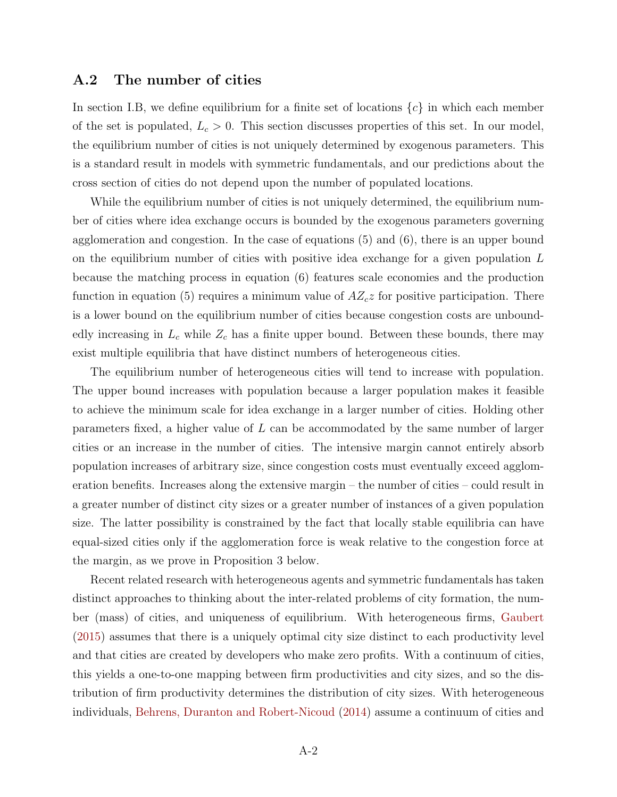### A.2 The number of cities

In section I.B, we define equilibrium for a finite set of locations  $\{c\}$  in which each member of the set is populated,  $L_c > 0$ . This section discusses properties of this set. In our model, the equilibrium number of cities is not uniquely determined by exogenous parameters. This is a standard result in models with symmetric fundamentals, and our predictions about the cross section of cities do not depend upon the number of populated locations.

While the equilibrium number of cities is not uniquely determined, the equilibrium number of cities where idea exchange occurs is bounded by the exogenous parameters governing agglomeration and congestion. In the case of equations (5) and (6), there is an upper bound on the equilibrium number of cities with positive idea exchange for a given population L because the matching process in equation (6) features scale economies and the production function in equation (5) requires a minimum value of  $AZ_{c}z$  for positive participation. There is a lower bound on the equilibrium number of cities because congestion costs are unboundedly increasing in  $L_c$  while  $Z_c$  has a finite upper bound. Between these bounds, there may exist multiple equilibria that have distinct numbers of heterogeneous cities.

The equilibrium number of heterogeneous cities will tend to increase with population. The upper bound increases with population because a larger population makes it feasible to achieve the minimum scale for idea exchange in a larger number of cities. Holding other parameters fixed, a higher value of L can be accommodated by the same number of larger cities or an increase in the number of cities. The intensive margin cannot entirely absorb population increases of arbitrary size, since congestion costs must eventually exceed agglomeration benefits. Increases along the extensive margin – the number of cities – could result in a greater number of distinct city sizes or a greater number of instances of a given population size. The latter possibility is constrained by the fact that locally stable equilibria can have equal-sized cities only if the agglomeration force is weak relative to the congestion force at the margin, as we prove in Proposition 3 below.

Recent related research with heterogeneous agents and symmetric fundamentals has taken distinct approaches to thinking about the inter-related problems of city formation, the number (mass) of cities, and uniqueness of equilibrium. With heterogeneous firms, [Gaubert](#page-24-1) [\(2015\)](#page-24-1) assumes that there is a uniquely optimal city size distinct to each productivity level and that cities are created by developers who make zero profits. With a continuum of cities, this yields a one-to-one mapping between firm productivities and city sizes, and so the distribution of firm productivity determines the distribution of city sizes. With heterogeneous individuals, [Behrens, Duranton and Robert-Nicoud](#page-24-0) [\(2014\)](#page-24-0) assume a continuum of cities and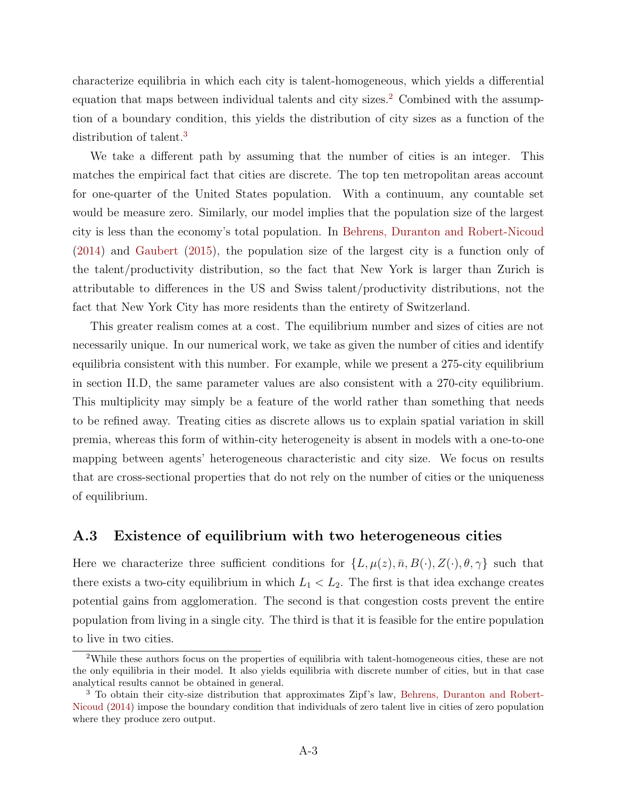characterize equilibria in which each city is talent-homogeneous, which yields a differential equation that maps between individual talents and city sizes.<sup>[2](#page-2-0)</sup> Combined with the assumption of a boundary condition, this yields the distribution of city sizes as a function of the distribution of talent.<sup>[3](#page-2-1)</sup>

We take a different path by assuming that the number of cities is an integer. This matches the empirical fact that cities are discrete. The top ten metropolitan areas account for one-quarter of the United States population. With a continuum, any countable set would be measure zero. Similarly, our model implies that the population size of the largest city is less than the economy's total population. In [Behrens, Duranton and Robert-Nicoud](#page-24-0) [\(2014\)](#page-24-0) and [Gaubert](#page-24-1) [\(2015\)](#page-24-1), the population size of the largest city is a function only of the talent/productivity distribution, so the fact that New York is larger than Zurich is attributable to differences in the US and Swiss talent/productivity distributions, not the fact that New York City has more residents than the entirety of Switzerland.

This greater realism comes at a cost. The equilibrium number and sizes of cities are not necessarily unique. In our numerical work, we take as given the number of cities and identify equilibria consistent with this number. For example, while we present a 275-city equilibrium in section II.D, the same parameter values are also consistent with a 270-city equilibrium. This multiplicity may simply be a feature of the world rather than something that needs to be refined away. Treating cities as discrete allows us to explain spatial variation in skill premia, whereas this form of within-city heterogeneity is absent in models with a one-to-one mapping between agents' heterogeneous characteristic and city size. We focus on results that are cross-sectional properties that do not rely on the number of cities or the uniqueness of equilibrium.

## A.3 Existence of equilibrium with two heterogeneous cities

Here we characterize three sufficient conditions for  $\{L, \mu(z), \bar{n}, B(\cdot), Z(\cdot), \theta, \gamma\}$  such that there exists a two-city equilibrium in which  $L_1 < L_2$ . The first is that idea exchange creates potential gains from agglomeration. The second is that congestion costs prevent the entire population from living in a single city. The third is that it is feasible for the entire population to live in two cities.

<span id="page-2-0"></span><sup>2</sup>While these authors focus on the properties of equilibria with talent-homogeneous cities, these are not the only equilibria in their model. It also yields equilibria with discrete number of cities, but in that case analytical results cannot be obtained in general.

<span id="page-2-1"></span><sup>3</sup> To obtain their city-size distribution that approximates Zipf's law, [Behrens, Duranton and Robert-](#page-24-0)[Nicoud](#page-24-0) [\(2014\)](#page-24-0) impose the boundary condition that individuals of zero talent live in cities of zero population where they produce zero output.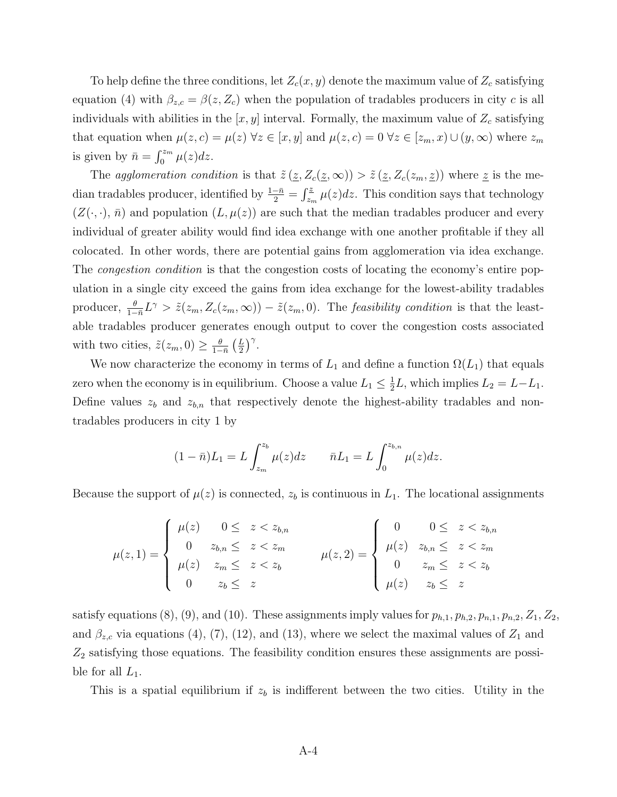To help define the three conditions, let  $Z_c(x, y)$  denote the maximum value of  $Z_c$  satisfying equation (4) with  $\beta_{z,c} = \beta(z, Z_c)$  when the population of tradables producers in city c is all individuals with abilities in the  $[x, y]$  interval. Formally, the maximum value of  $Z_c$  satisfying that equation when  $\mu(z, c) = \mu(z) \,\forall z \in [x, y]$  and  $\mu(z, c) = 0 \,\forall z \in [z_m, x) \cup (y, \infty)$  where  $z_m$ is given by  $\bar{n} = \int_0^{z_m} \mu(z) dz$ .

The agglomeration condition is that  $\tilde{z}$  ( $z$ ,  $Z_c(z,\infty)$ ) >  $\tilde{z}$  ( $z$ ,  $Z_c(z_m, z)$ ) where  $z$  is the median tradables producer, identified by  $\frac{1-\bar{n}}{2} = \int_{z_m}^{\bar{z}} \mu(z) dz$ . This condition says that technology  $(Z(\cdot, \cdot), \bar{n})$  and population  $(L, \mu(z))$  are such that the median tradables producer and every individual of greater ability would find idea exchange with one another profitable if they all colocated. In other words, there are potential gains from agglomeration via idea exchange. The *congestion condition* is that the congestion costs of locating the economy's entire population in a single city exceed the gains from idea exchange for the lowest-ability tradables producer,  $\frac{\theta}{1-\bar{n}}L^{\gamma} > \tilde{z}(z_m, Z_c(z_m, \infty)) - \tilde{z}(z_m, 0)$ . The *feasibility condition* is that the leastable tradables producer generates enough output to cover the congestion costs associated with two cities,  $\tilde{z}(z_m, 0) \geq \frac{\theta}{1-z}$  $\frac{\theta}{1-\bar{n}}\left(\frac{L}{2}\right)$  $(\frac{L}{2})^{\gamma}$ .

We now characterize the economy in terms of  $L_1$  and define a function  $\Omega(L_1)$  that equals zero when the economy is in equilibrium. Choose a value  $L_1 \leq \frac{1}{2}$  $\frac{1}{2}L$ , which implies  $L_2 = L - L_1$ . Define values  $z_b$  and  $z_{b,n}$  that respectively denote the highest-ability tradables and nontradables producers in city 1 by

$$
(1 - \bar{n})L_1 = L \int_{z_m}^{z_b} \mu(z) dz \qquad \bar{n}L_1 = L \int_0^{z_{b,n}} \mu(z) dz.
$$

Because the support of  $\mu(z)$  is connected,  $z_b$  is continuous in  $L_1$ . The locational assignments

$$
\mu(z,1) = \begin{cases}\n\mu(z) & 0 \leq z < z_{b,n} \\
0 & z_{b,n} \leq z < z_m \\
\mu(z) & z_m \leq z < z_b \\
0 & z_b \leq z\n\end{cases}\n\qquad\n\mu(z,2) = \begin{cases}\n0 & 0 \leq z < z_{b,n} \\
\mu(z) & z_{b,n} \leq z < z_m \\
0 & z_m \leq z < z_b \\
\mu(z) & z_b \leq z\n\end{cases}
$$

satisfy equations (8), (9), and (10). These assignments imply values for  $p_{h,1}, p_{h,2}, p_{n,1}, p_{n,2}, Z_1, Z_2$ , and  $\beta_{z,c}$  via equations (4), (7), (12), and (13), where we select the maximal values of  $Z_1$  and  $Z_2$  satisfying those equations. The feasibility condition ensures these assignments are possible for all  $L_1$ .

This is a spatial equilibrium if  $z<sub>b</sub>$  is indifferent between the two cities. Utility in the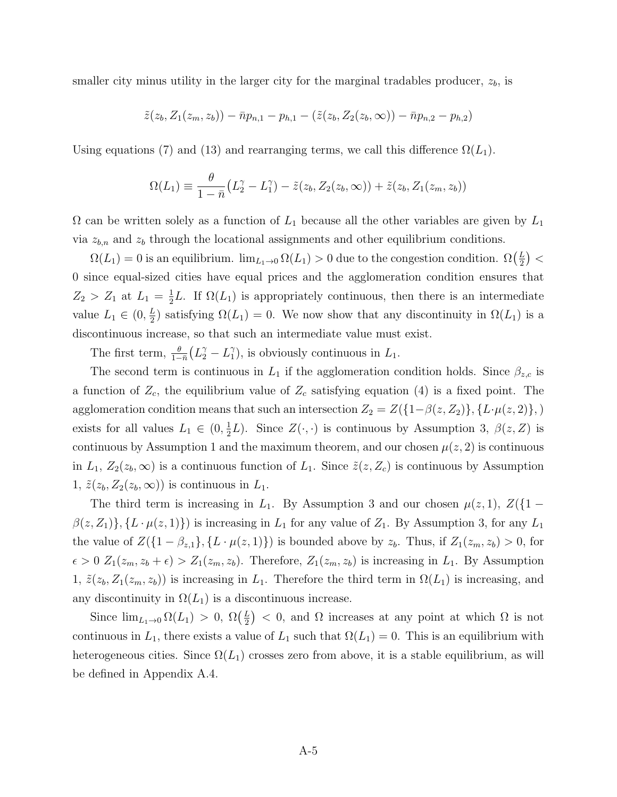smaller city minus utility in the larger city for the marginal tradables producer,  $z<sub>b</sub>$ , is

$$
\tilde{z}(z_b, Z_1(z_m, z_b)) - \bar{n}p_{n,1} - p_{h,1} - (\tilde{z}(z_b, Z_2(z_b, \infty)) - \bar{n}p_{n,2} - p_{h,2})
$$

Using equations (7) and (13) and rearranging terms, we call this difference  $\Omega(L_1)$ .

$$
\Omega(L_1) \equiv \frac{\theta}{1-\bar{n}} \big(L_2^{\gamma} - L_1^{\gamma}\big) - \tilde{z}(z_b, Z_2(z_b, \infty)) + \tilde{z}(z_b, Z_1(z_m, z_b))
$$

 $\Omega$  can be written solely as a function of  $L_1$  because all the other variables are given by  $L_1$ via  $z_{b,n}$  and  $z_b$  through the locational assignments and other equilibrium conditions.

 $\Omega(L_1) = 0$  is an equilibrium.  $\lim_{L_1 \to 0} \Omega(L_1) > 0$  due to the congestion condition.  $\Omega(\frac{L_1}{2})$  $\frac{L}{2}\big) <$ 0 since equal-sized cities have equal prices and the agglomeration condition ensures that  $Z_2 > Z_1$  at  $L_1 = \frac{1}{2}$  $\frac{1}{2}L$ . If  $\Omega(L_1)$  is appropriately continuous, then there is an intermediate value  $L_1 \in (0, \frac{L}{2})$  $\frac{L}{2}$ ) satisfying  $\Omega(L_1) = 0$ . We now show that any discontinuity in  $\Omega(L_1)$  is a discontinuous increase, so that such an intermediate value must exist.

The first term,  $\frac{\theta}{1-\bar{n}}(L_2^{\gamma} - L_1^{\gamma})$  $_{1}^{\gamma}$ ), is obviously continuous in  $L_{1}$ .

The second term is continuous in  $L_1$  if the agglomeration condition holds. Since  $\beta_{z,c}$  is a function of  $Z_c$ , the equilibrium value of  $Z_c$  satisfying equation (4) is a fixed point. The agglomeration condition means that such an intersection  $Z_2 = Z(\{1-\beta(z,Z_2)\}, \{L \cdot \mu(z,2)\},\)$ exists for all values  $L_1 \in (0, \frac{1}{2})$  $\frac{1}{2}L$ ). Since  $Z(\cdot, \cdot)$  is continuous by Assumption 3,  $\beta(z, Z)$  is continuous by Assumption 1 and the maximum theorem, and our chosen  $\mu(z, 2)$  is continuous in  $L_1$ ,  $Z_2(z_b,\infty)$  is a continuous function of  $L_1$ . Since  $\tilde{z}(z, Z_c)$  is continuous by Assumption 1,  $\tilde{z}(z_b, Z_2(z_b, \infty))$  is continuous in  $L_1$ .

The third term is increasing in  $L_1$ . By Assumption 3 and our chosen  $\mu(z, 1)$ ,  $Z(\{1 - \mu(z), z\})$  $\beta(z, Z_1)$ ,  $\{L \cdot \mu(z, 1)\}\$  is increasing in  $L_1$  for any value of  $Z_1$ . By Assumption 3, for any  $L_1$ the value of  $Z(\{1-\beta_{z,1}\}, \{L \cdot \mu(z,1)\})$  is bounded above by  $z_b$ . Thus, if  $Z_1(z_m, z_b) > 0$ , for  $\epsilon > 0$   $Z_1(z_m, z_b + \epsilon) > Z_1(z_m, z_b)$ . Therefore,  $Z_1(z_m, z_b)$  is increasing in  $L_1$ . By Assumption 1,  $\tilde{z}(z_b, Z_1(z_m, z_b))$  is increasing in  $L_1$ . Therefore the third term in  $\Omega(L_1)$  is increasing, and any discontinuity in  $\Omega(L_1)$  is a discontinuous increase.

Since  $\lim_{L_1\to 0} \Omega(L_1) > 0$ ,  $\Omega(\frac{L}{2})$  $\left(\frac{L}{2}\right)$  < 0, and  $\Omega$  increases at any point at which  $\Omega$  is not continuous in  $L_1$ , there exists a value of  $L_1$  such that  $\Omega(L_1) = 0$ . This is an equilibrium with heterogeneous cities. Since  $\Omega(L_1)$  crosses zero from above, it is a stable equilibrium, as will be defined in Appendix A.4.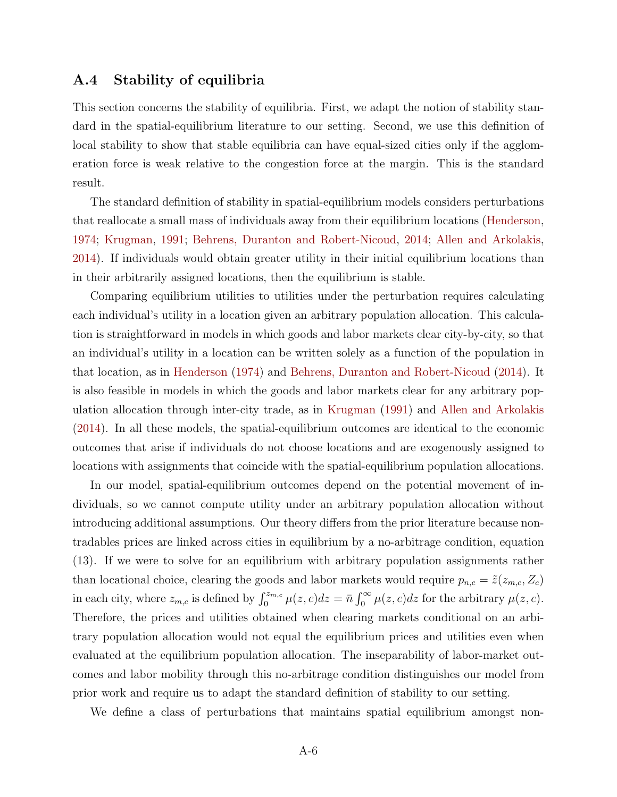## A.4 Stability of equilibria

This section concerns the stability of equilibria. First, we adapt the notion of stability standard in the spatial-equilibrium literature to our setting. Second, we use this definition of local stability to show that stable equilibria can have equal-sized cities only if the agglomeration force is weak relative to the congestion force at the margin. This is the standard result.

The standard definition of stability in spatial-equilibrium models considers perturbations that reallocate a small mass of individuals away from their equilibrium locations [\(Henderson,](#page-24-2) [1974;](#page-24-2) [Krugman,](#page-24-3) [1991;](#page-24-3) [Behrens, Duranton and Robert-Nicoud,](#page-24-0) [2014;](#page-24-0) [Allen and Arkolakis,](#page-24-4) [2014\)](#page-24-4). If individuals would obtain greater utility in their initial equilibrium locations than in their arbitrarily assigned locations, then the equilibrium is stable.

Comparing equilibrium utilities to utilities under the perturbation requires calculating each individual's utility in a location given an arbitrary population allocation. This calculation is straightforward in models in which goods and labor markets clear city-by-city, so that an individual's utility in a location can be written solely as a function of the population in that location, as in [Henderson](#page-24-2) [\(1974\)](#page-24-2) and [Behrens, Duranton and Robert-Nicoud](#page-24-0) [\(2014\)](#page-24-0). It is also feasible in models in which the goods and labor markets clear for any arbitrary population allocation through inter-city trade, as in [Krugman](#page-24-3) [\(1991\)](#page-24-3) and [Allen and Arkolakis](#page-24-4) [\(2014\)](#page-24-4). In all these models, the spatial-equilibrium outcomes are identical to the economic outcomes that arise if individuals do not choose locations and are exogenously assigned to locations with assignments that coincide with the spatial-equilibrium population allocations.

In our model, spatial-equilibrium outcomes depend on the potential movement of individuals, so we cannot compute utility under an arbitrary population allocation without introducing additional assumptions. Our theory differs from the prior literature because nontradables prices are linked across cities in equilibrium by a no-arbitrage condition, equation (13). If we were to solve for an equilibrium with arbitrary population assignments rather than locational choice, clearing the goods and labor markets would require  $p_{n,c} = \tilde{z}(z_{m,c}, Z_c)$ in each city, where  $z_{m,c}$  is defined by  $\int_0^{z_{m,c}} \mu(z,c)dz = \bar{n} \int_0^{\infty} \mu(z,c)dz$  for the arbitrary  $\mu(z,c)$ . Therefore, the prices and utilities obtained when clearing markets conditional on an arbitrary population allocation would not equal the equilibrium prices and utilities even when evaluated at the equilibrium population allocation. The inseparability of labor-market outcomes and labor mobility through this no-arbitrage condition distinguishes our model from prior work and require us to adapt the standard definition of stability to our setting.

We define a class of perturbations that maintains spatial equilibrium amongst non-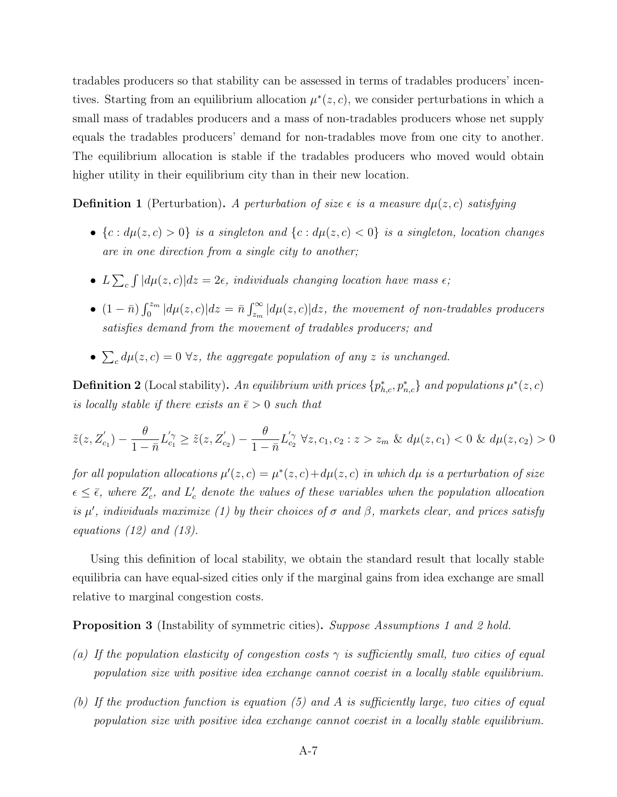tradables producers so that stability can be assessed in terms of tradables producers' incentives. Starting from an equilibrium allocation  $\mu^*(z, c)$ , we consider perturbations in which a small mass of tradables producers and a mass of non-tradables producers whose net supply equals the tradables producers' demand for non-tradables move from one city to another. The equilibrium allocation is stable if the tradables producers who moved would obtain higher utility in their equilibrium city than in their new location.

**Definition 1** (Perturbation). A perturbation of size  $\epsilon$  is a measure  $d\mu(z, c)$  satisfying

- ${c : d\mu(z, c) > 0}$  is a singleton and  ${c : d\mu(z, c) < 0}$  is a singleton, location changes are in one direction from a single city to another;
- $L\sum_c \int |d\mu(z,c)|dz = 2\epsilon$ , individuals changing location have mass  $\epsilon$ ;
- $(1 \bar{n}) \int_0^{z_m} |d\mu(z, c)| dz = \bar{n} \int_{z_m}^{\infty} |d\mu(z, c)| dz$ , the movement of non-tradables producers satisfies demand from the movement of tradables producers; and
- $\sum_c d\mu(z,c) = 0 \ \forall z$ , the aggregate population of any z is unchanged.

**Definition 2** (Local stability). An equilibrium with prices  $\{p_{h,c}^*, p_{n,c}^*\}$  and populations  $\mu^*(z,c)$ is locally stable if there exists an  $\bar{\epsilon} > 0$  such that

$$
\tilde{z}(z, Z'_{c_1}) - \frac{\theta}{1 - \bar{n}} L'_{c_1} \ge \tilde{z}(z, Z'_{c_2}) - \frac{\theta}{1 - \bar{n}} L'_{c_2} \ \forall z, c_1, c_2 : z > z_m \ \& \ d\mu(z, c_1) < 0 \ \& \ d\mu(z, c_2) > 0
$$

for all population allocations  $\mu'(z,c) = \mu^*(z,c) + d\mu(z,c)$  in which d $\mu$  is a perturbation of size  $\epsilon \leq \bar{\epsilon}$ , where  $Z_c'$ , and  $L_c'$  denote the values of these variables when the population allocation is  $\mu'$ , individuals maximize (1) by their choices of  $\sigma$  and  $\beta$ , markets clear, and prices satisfy equations  $(12)$  and  $(13)$ .

Using this definition of local stability, we obtain the standard result that locally stable equilibria can have equal-sized cities only if the marginal gains from idea exchange are small relative to marginal congestion costs.

**Proposition 3** (Instability of symmetric cities). Suppose Assumptions 1 and 2 hold.

- (a) If the population elasticity of congestion costs  $\gamma$  is sufficiently small, two cities of equal population size with positive idea exchange cannot coexist in a locally stable equilibrium.
- (b) If the production function is equation (5) and A is sufficiently large, two cities of equal population size with positive idea exchange cannot coexist in a locally stable equilibrium.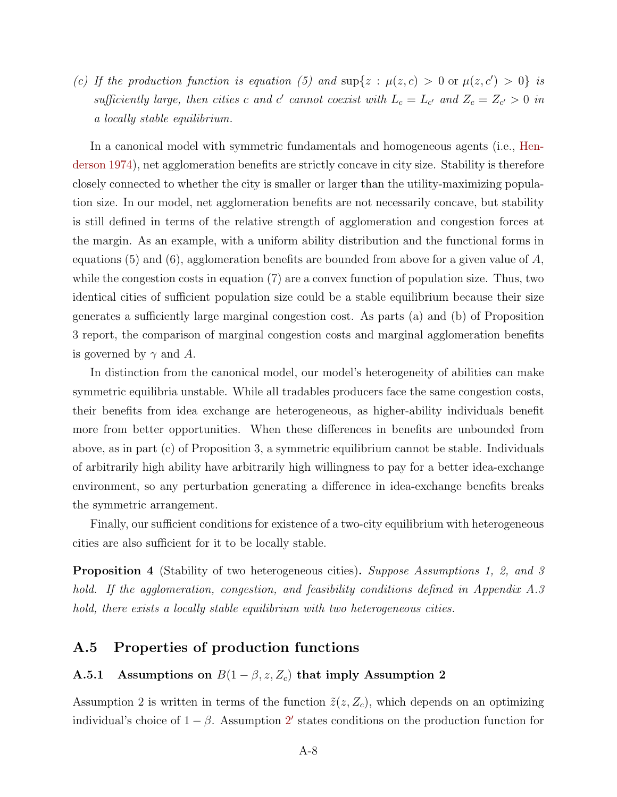(c) If the production function is equation (5) and  $\sup\{z : \mu(z,c) > 0 \text{ or } \mu(z,c') > 0\}$  is sufficiently large, then cities c and c' cannot coexist with  $L_c = L_{c'}$  and  $Z_c = Z_{c'} > 0$  in a locally stable equilibrium.

In a canonical model with symmetric fundamentals and homogeneous agents (i.e., [Hen](#page-24-2)[derson](#page-24-2) [1974\)](#page-24-2), net agglomeration benefits are strictly concave in city size. Stability is therefore closely connected to whether the city is smaller or larger than the utility-maximizing population size. In our model, net agglomeration benefits are not necessarily concave, but stability is still defined in terms of the relative strength of agglomeration and congestion forces at the margin. As an example, with a uniform ability distribution and the functional forms in equations (5) and (6), agglomeration benefits are bounded from above for a given value of  $A$ , while the congestion costs in equation (7) are a convex function of population size. Thus, two identical cities of sufficient population size could be a stable equilibrium because their size generates a sufficiently large marginal congestion cost. As parts (a) and (b) of Proposition 3 report, the comparison of marginal congestion costs and marginal agglomeration benefits is governed by  $\gamma$  and A.

In distinction from the canonical model, our model's heterogeneity of abilities can make symmetric equilibria unstable. While all tradables producers face the same congestion costs, their benefits from idea exchange are heterogeneous, as higher-ability individuals benefit more from better opportunities. When these differences in benefits are unbounded from above, as in part (c) of Proposition 3, a symmetric equilibrium cannot be stable. Individuals of arbitrarily high ability have arbitrarily high willingness to pay for a better idea-exchange environment, so any perturbation generating a difference in idea-exchange benefits breaks the symmetric arrangement.

Finally, our sufficient conditions for existence of a two-city equilibrium with heterogeneous cities are also sufficient for it to be locally stable.

**Proposition 4** (Stability of two heterogeneous cities). Suppose Assumptions 1, 2, and 3 hold. If the agglomeration, congestion, and feasibility conditions defined in Appendix A.3 hold, there exists a locally stable equilibrium with two heterogeneous cities.

## A.5 Properties of production functions

### A.5.1 Assumptions on  $B(1 - \beta, z, Z_c)$  that imply Assumption 2

Assumption 2 is written in terms of the function  $\tilde{z}(z, Z_c)$ , which depends on an optimizing individual's choice of  $1 - \beta$ . Assumption [2](#page-8-0)' states conditions on the production function for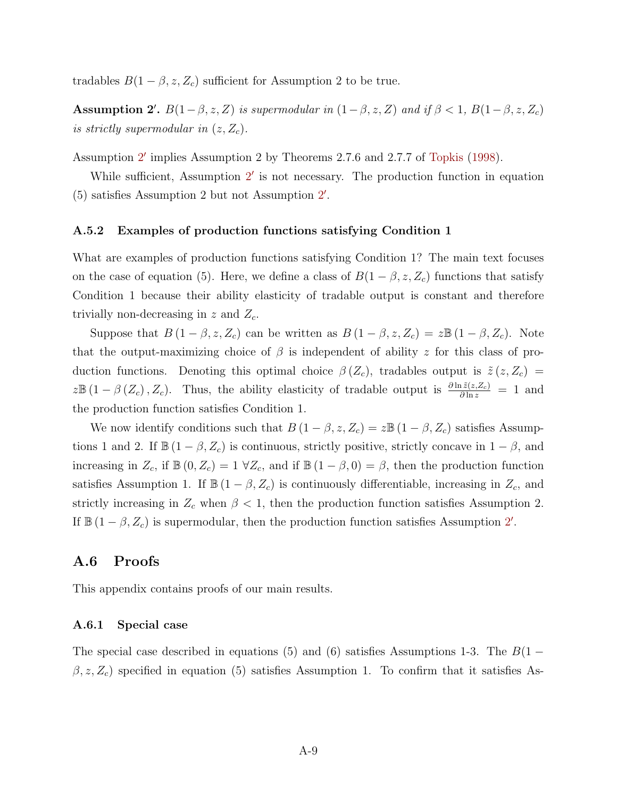tradables  $B(1 - \beta, z, Z_c)$  sufficient for Assumption 2 to be true.

<span id="page-8-0"></span>Assumption 2'.  $B(1-\beta, z, Z)$  is supermodular in  $(1-\beta, z, Z)$  and if  $\beta < 1$ ,  $B(1-\beta, z, Z_c)$ is strictly supermodular in  $(z, Z_c)$ .

Assumption [2](#page-8-0)' implies Assumption 2 by Theorems 2.7.6 and 2.7.7 of [Topkis](#page-24-5) [\(1998\)](#page-24-5).

While sufficient, Assumption [2](#page-8-0)' is not necessary. The production function in equation  $(5)$  satisfies Assumption [2](#page-8-0) but not Assumption 2'.

#### A.5.2 Examples of production functions satisfying Condition 1

What are examples of production functions satisfying Condition 1? The main text focuses on the case of equation (5). Here, we define a class of  $B(1 - \beta, z, Z_c)$  functions that satisfy Condition 1 because their ability elasticity of tradable output is constant and therefore trivially non-decreasing in  $z$  and  $Z_c$ .

Suppose that  $B(1 - \beta, z, Z_c)$  can be written as  $B(1 - \beta, z, Z_c) = z \mathbb{B}(1 - \beta, Z_c)$ . Note that the output-maximizing choice of  $\beta$  is independent of ability z for this class of production functions. Denoting this optimal choice  $\beta(Z_c)$ , tradables output is  $\tilde{z}(z, Z_c)$  $z\mathbb{B}(1-\beta(Z_c), Z_c)$ . Thus, the ability elasticity of tradable output is  $\frac{\partial \ln \tilde{z}(z,Z_c)}{\partial \ln z} = 1$  and the production function satisfies Condition 1.

We now identify conditions such that  $B(1 - \beta, z, Z_c) = z \mathbb{B}(1 - \beta, Z_c)$  satisfies Assumptions 1 and 2. If  $\mathbb{B} (1 - \beta, Z_c)$  is continuous, strictly positive, strictly concave in  $1 - \beta$ , and increasing in  $Z_c$ , if  $\mathbb{B}(0, Z_c) = 1 \ \forall Z_c$ , and if  $\mathbb{B}(1 - \beta, 0) = \beta$ , then the production function satisfies Assumption 1. If  $\mathbb{B} (1 - \beta, Z_c)$  is continuously differentiable, increasing in  $Z_c$ , and strictly increasing in  $Z_c$  when  $\beta < 1$ , then the production function satisfies Assumption 2. If  $\mathbb{B}(1-\beta, Z_c)$  is supermodular, then the production function satisfies Assumption [2](#page-8-0)'.

## A.6 Proofs

This appendix contains proofs of our main results.

#### A.6.1 Special case

The special case described in equations (5) and (6) satisfies Assumptions 1-3. The  $B(1 (\beta, z, Z_c)$  specified in equation (5) satisfies Assumption 1. To confirm that it satisfies As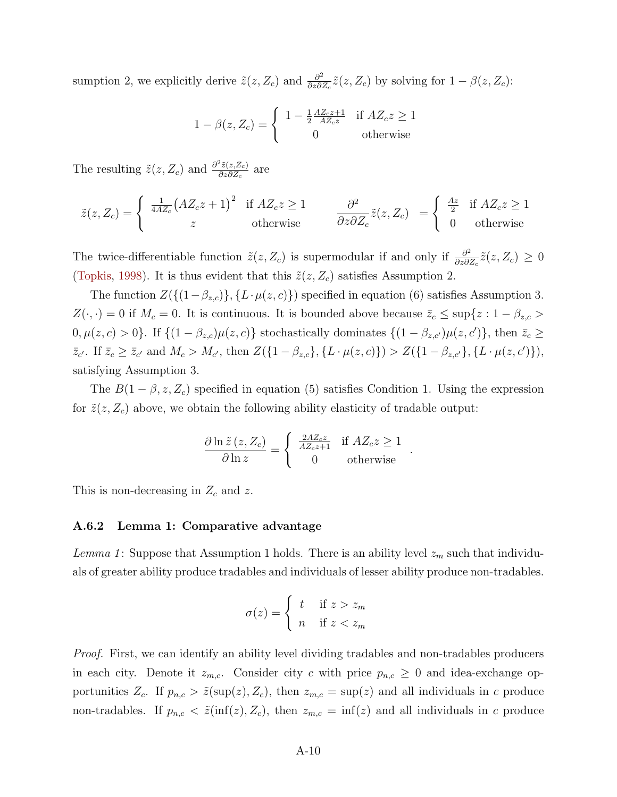sumption 2, we explicitly derive  $\tilde{z}(z, Z_c)$  and  $\frac{\partial^2}{\partial z \partial \tilde{z}}$  $\frac{\partial^2}{\partial z \partial Z_c} \tilde{z}(z, Z_c)$  by solving for  $1 - \beta(z, Z_c)$ :

$$
1 - \beta(z, Z_c) = \begin{cases} 1 - \frac{1}{2} \frac{AZ_c z + 1}{AZ_c z} & \text{if } AZ_c z \ge 1\\ 0 & \text{otherwise} \end{cases}
$$

The resulting  $\tilde{z}(z, Z_c)$  and  $\frac{\partial^2 \tilde{z}(z, Z_c)}{\partial z \partial Z_c}$  $\frac{\partial z(z,Z_c)}{\partial z \partial Z_c}$  are

$$
\tilde{z}(z, Z_c) = \begin{cases}\n\frac{1}{4AZ_c}(AZ_c z + 1)^2 & \text{if } AZ_c z \ge 1 \\
z & \text{otherwise}\n\end{cases}\n\qquad\n\frac{\partial^2}{\partial z \partial Z_c} \tilde{z}(z, Z_c) = \begin{cases}\n\frac{Az}{2} & \text{if } AZ_c z \ge 1 \\
0 & \text{otherwise}\n\end{cases}
$$

The twice-differentiable function  $\tilde{z}(z, Z_c)$  is supermodular if and only if  $\frac{\partial^2}{\partial z \partial \zeta}$  $\frac{\partial^2}{\partial z \partial Z_c} \tilde{z}(z, Z_c) \geq 0$ [\(Topkis,](#page-24-5) [1998\)](#page-24-5). It is thus evident that this  $\tilde{z}(z, Z_c)$  satisfies Assumption 2.

The function  $Z(\{(1-\beta_{z,c})\}, \{L \cdot \mu(z, c)\})$  specified in equation (6) satisfies Assumption 3.  $Z(\cdot, \cdot) = 0$  if  $M_c = 0$ . It is continuous. It is bounded above because  $\bar{z}_c \le \sup\{z: 1 - \beta_{z,c} > 0\}$  $0, \mu(z, c) > 0$ . If  $\{(1 - \beta_{z,c})\mu(z, c)\}\$  stochastically dominates  $\{(1 - \beta_{z,c'})\mu(z, c')\}\$ , then  $\bar{z}_c \geq 0$  $\bar{z}_{c'}$ . If  $\bar{z}_c \geq \bar{z}_{c'}$  and  $M_c > M_{c'}$ , then  $Z(\{1-\beta_{z,c}\}, \{L \cdot \mu(z,c)\}) > Z(\{1-\beta_{z,c'}\}, \{L \cdot \mu(z,c')\}),$ satisfying Assumption 3.

The  $B(1 - \beta, z, Z_c)$  specified in equation (5) satisfies Condition 1. Using the expression for  $\tilde{z}(z, Z_c)$  above, we obtain the following ability elasticity of tradable output:

$$
\frac{\partial \ln \tilde{z}(z, Z_c)}{\partial \ln z} = \begin{cases} \frac{2AZ_c z}{AZ_c z + 1} & \text{if } AZ_c z \ge 1\\ 0 & \text{otherwise} \end{cases}
$$

.

This is non-decreasing in  $Z_c$  and z.

#### A.6.2 Lemma 1: Comparative advantage

Lemma 1: Suppose that Assumption 1 holds. There is an ability level  $z_m$  such that individuals of greater ability produce tradables and individuals of lesser ability produce non-tradables.

$$
\sigma(z) = \begin{cases} t & \text{if } z > z_m \\ n & \text{if } z < z_m \end{cases}
$$

Proof. First, we can identify an ability level dividing tradables and non-tradables producers in each city. Denote it  $z_{m,c}$ . Consider city c with price  $p_{n,c} \geq 0$  and idea-exchange opportunities  $Z_c$ . If  $p_{n,c} > \tilde{z}(\sup(z), Z_c)$ , then  $z_{m,c} = \sup(z)$  and all individuals in c produce non-tradables. If  $p_{n,c} < \tilde{z}(\inf(z), Z_c)$ , then  $z_{m,c} = \inf(z)$  and all individuals in c produce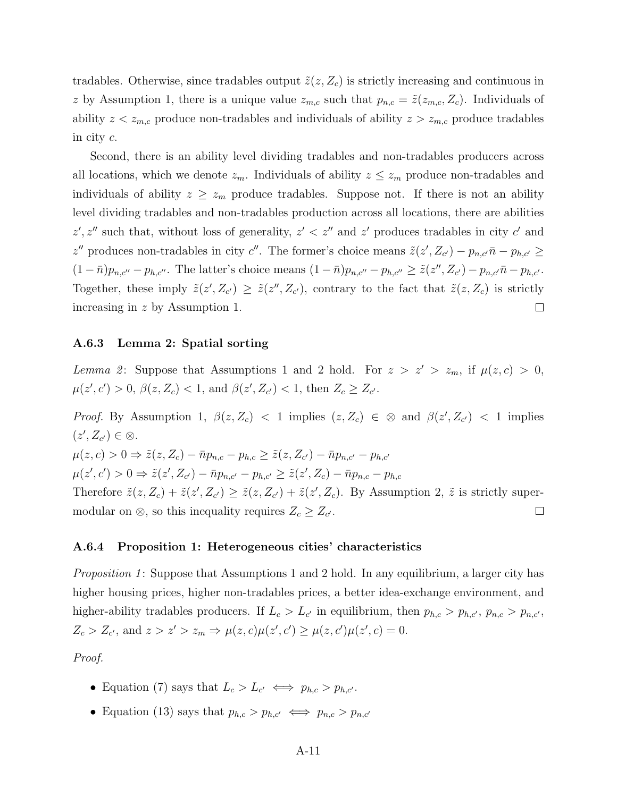tradables. Otherwise, since tradables output  $\tilde{z}(z, Z_c)$  is strictly increasing and continuous in z by Assumption 1, there is a unique value  $z_{m,c}$  such that  $p_{n,c} = \tilde{z}(z_{m,c}, Z_c)$ . Individuals of ability  $z \, \le \, z_{m,c}$  produce non-tradables and individuals of ability  $z \, > \, z_{m,c}$  produce tradables in city c.

Second, there is an ability level dividing tradables and non-tradables producers across all locations, which we denote  $z_m$ . Individuals of ability  $z \le z_m$  produce non-tradables and individuals of ability  $z \ge z_m$  produce tradables. Suppose not. If there is not an ability level dividing tradables and non-tradables production across all locations, there are abilities  $z', z''$  such that, without loss of generality,  $z' < z''$  and  $z'$  produces tradables in city c' and z'' produces non-tradables in city c''. The former's choice means  $\tilde{z}(z', Z_{c'}) - p_{n,c'} \bar{n} - p_{h,c'} \geq$  $(1 - \bar{n})p_{n,c''} - p_{h,c''}$ . The latter's choice means  $(1 - \bar{n})p_{n,c''} - p_{h,c''} \geq \tilde{z}(z'', Z_{c'}) - p_{n,c'}\bar{n} - p_{h,c'}$ . Together, these imply  $\tilde{z}(z', Z_{c'}) \geq \tilde{z}(z'', Z_{c'})$ , contrary to the fact that  $\tilde{z}(z, Z_c)$  is strictly increasing in z by Assumption 1.  $\Box$ 

#### A.6.3 Lemma 2: Spatial sorting

Lemma 2: Suppose that Assumptions 1 and 2 hold. For  $z > z' > z_m$ , if  $\mu(z, c) > 0$ ,  $\mu(z',c') > 0, \beta(z,Z_c) < 1, \text{ and } \beta(z',Z_{c'}) < 1, \text{ then } Z_c \geq Z_{c'}$ .

*Proof.* By Assumption 1,  $\beta(z, Z_c) < 1$  implies  $(z, Z_c) \in \mathcal{D}$  and  $\beta(z', Z_{c'}) < 1$  implies  $(z', Z_{c'}) \in \otimes$ .  $\mu(z, c) > 0 \Rightarrow \tilde{z}(z, Z_c) - \bar{n} p_{n,c} - p_{h,c} \geq \tilde{z}(z, Z_{c'}) - \bar{n} p_{n,c'} - p_{h,c'}$  $\mu(z',c') > 0 \Rightarrow \tilde{z}(z',Z_{c'}) - \bar{n}p_{n,c'} - p_{h,c'} \geq \tilde{z}(z',Z_c) - \bar{n}p_{n,c} - p_{h,c}$ Therefore  $\tilde{z}(z, Z_c) + \tilde{z}(z', Z_{c'}) \geq \tilde{z}(z, Z_{c'}) + \tilde{z}(z', Z_c)$ . By Assumption 2,  $\tilde{z}$  is strictly supermodular on  $\otimes$ , so this inequality requires  $Z_c \geq Z_{c'}$ .  $\Box$ 

#### A.6.4 Proposition 1: Heterogeneous cities' characteristics

*Proposition 1*: Suppose that Assumptions 1 and 2 hold. In any equilibrium, a larger city has higher housing prices, higher non-tradables prices, a better idea-exchange environment, and higher-ability tradables producers. If  $L_c > L_{c'}$  in equilibrium, then  $p_{h,c} > p_{h,c'}$ ,  $p_{n,c} > p_{n,c'}$ ,  $Z_c > Z_{c'}$ , and  $z > z' > z_m \Rightarrow \mu(z, c)\mu(z', c') \ge \mu(z, c')\mu(z', c) = 0$ .

Proof.

- Equation (7) says that  $L_c > L_{c'} \iff p_{h,c} > p_{h,c'}$ .
- Equation (13) says that  $p_{h,c} > p_{h,c'} \iff p_{n,c} > p_{n,c'}$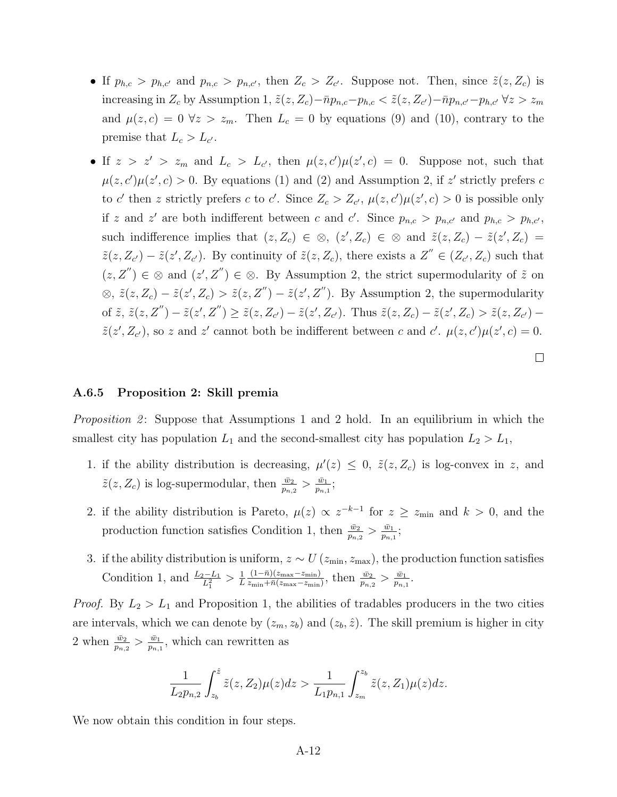- If  $p_{h,c} > p_{h,c'}$  and  $p_{n,c} > p_{n,c'}$ , then  $Z_c > Z_{c'}$ . Suppose not. Then, since  $\tilde{z}(z, Z_c)$  is increasing in  $Z_c$  by Assumption 1,  $\tilde{z}(z, Z_c) - \bar{n}p_{n,c} - p_{h,c} < \tilde{z}(z, Z_{c'}) - \bar{n}p_{n,c'} - p_{h,c'} \forall z > z_m$ and  $\mu(z, c) = 0 \ \forall z > z_m$ . Then  $L_c = 0$  by equations (9) and (10), contrary to the premise that  $L_c > L_{c'}$ .
- If  $z > z' > z_m$  and  $L_c > L_{c'}$ , then  $\mu(z, c')\mu(z', c) = 0$ . Suppose not, such that  $\mu(z, c')\mu(z', c) > 0$ . By equations (1) and (2) and Assumption 2, if z' strictly prefers c to c' then z strictly prefers c to c'. Since  $Z_c > Z_{c'}$ ,  $\mu(z, c')\mu(z', c) > 0$  is possible only if z and z' are both indifferent between c and c'. Since  $p_{n,c} > p_{n,c'}$  and  $p_{h,c} > p_{h,c'}$ , such indifference implies that  $(z, Z_c) \in \mathcal{D}, (z', Z_c) \in \mathcal{D}$  and  $\tilde{z}(z, Z_c) - \tilde{z}(z', Z_c) =$  $\tilde{z}(z, Z_{c'}) - \tilde{z}(z', Z_{c'})$ . By continuity of  $\tilde{z}(z, Z_c)$ , there exists a  $Z'' \in (Z_{c'}, Z_c)$  such that  $(z, Z'') \in \mathcal{D}$  and  $(z', Z'') \in \mathcal{D}$ . By Assumption 2, the strict supermodularity of  $\tilde{z}$  on  $\otimes, \tilde{z}(z, Z_c) - \tilde{z}(z', Z_c) > \tilde{z}(z, Z'') - \tilde{z}(z', Z'')$ . By Assumption 2, the supermodularity of  $\tilde{z}$ ,  $\tilde{z}(z, Z'') - \tilde{z}(z', Z'') \ge \tilde{z}(z, Z_{c'}) - \tilde{z}(z', Z_{c'})$ . Thus  $\tilde{z}(z, Z_c) - \tilde{z}(z', Z_c) > \tilde{z}(z, Z_{c'}) \tilde{z}(z', Z_{c'})$ , so z and z' cannot both be indifferent between c and c'.  $\mu(z, c')\mu(z', c) = 0$ .

 $\Box$ 

#### A.6.5 Proposition 2: Skill premia

*Proposition 2*: Suppose that Assumptions 1 and 2 hold. In an equilibrium in which the smallest city has population  $L_1$  and the second-smallest city has population  $L_2 > L_1$ ,

- 1. if the ability distribution is decreasing,  $\mu'(z) \leq 0$ ,  $\tilde{z}(z, Z_c)$  is log-convex in z, and  $\tilde{z}(z, Z_c)$  is log-supermodular, then  $\frac{\bar{w}_2}{p_{n,2}} > \frac{\bar{w}_1}{p_{n,2}}$  $\frac{\bar{w}_1}{p_{n,1}};$
- 2. if the ability distribution is Pareto,  $\mu(z) \propto z^{-k-1}$  for  $z \geq z_{\min}$  and  $k > 0$ , and the production function satisfies Condition 1, then  $\frac{\bar{w}_2}{p_{n,2}} > \frac{\bar{w}_1}{p_{n,1}}$  $\frac{\bar{w}_1}{p_{n,1}};$
- 3. if the ability distribution is uniform,  $z \sim U(z_{\text{min}}, z_{\text{max}})$ , the production function satisfies Condition 1, and  $\frac{L_2 - L_1}{L_1^2} > \frac{1}{L}$ L  $(1-\bar{n})(z_{\text{max}}-z_{\text{min}})$  $\frac{(1-\bar{n})(z_{\text{max}}-z_{\text{min}})}{z_{\text{min}}+\bar{n}(z_{\text{max}}-z_{\text{min}})}, \text{ then } \frac{\bar{w}_2}{p_{n,2}} > \frac{\bar{w}_1}{p_{n,1}}$  $\frac{\bar{w}_1}{p_{n,1}}.$

*Proof.* By  $L_2 > L_1$  and Proposition 1, the abilities of tradables producers in the two cities are intervals, which we can denote by  $(z_m, z_b)$  and  $(z_b, \hat{z})$ . The skill premium is higher in city 2 when  $\frac{\bar{w}_2}{p_{n,2}} > \frac{\bar{w}_1}{p_{n,1}}$  $\frac{\bar{w}_1}{p_{n,1}}$ , which can rewritten as

$$
\frac{1}{L_2 p_{n,2}} \int_{z_b}^{\hat{z}} \tilde{z}(z, Z_2) \mu(z) dz > \frac{1}{L_1 p_{n,1}} \int_{z_m}^{z_b} \tilde{z}(z, Z_1) \mu(z) dz.
$$

We now obtain this condition in four steps.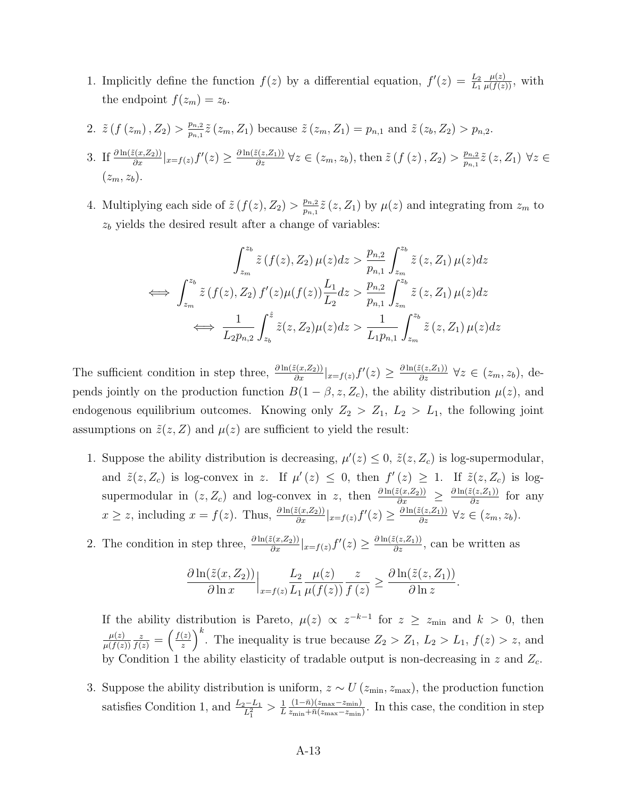- 1. Implicitly define the function  $f(z)$  by a differential equation,  $f'(z) = \frac{L_2}{L_1}$  $\frac{\mu(z)}{\mu(f(z))}$ , with the endpoint  $f(z_m) = z_b$ .
- 2.  $\tilde{z}(f(z_m), Z_2) > \frac{p_{n,2}}{p_{n,1}}$  $\frac{p_{n,2}}{p_{n,1}}\tilde{z}(z_m, Z_1)$  because  $\tilde{z}(z_m, Z_1) = p_{n,1}$  and  $\tilde{z}(z_b, Z_2) > p_{n,2}$ .
- 3. If  $\frac{\partial \ln(z(x,Z_2))}{\partial x}|_{x=f(z)} f'(z) \geq \frac{\partial \ln(z(z,Z_1))}{\partial z} \forall z \in (z_m, z_b)$ , then  $\tilde{z}(f(z), Z_2) > \frac{p_{n,2}}{p_{n,1}}$  $\frac{p_{n,2}}{p_{n,1}}\tilde{z}\left( z,Z_{1}\right)$   $\forall z\in% \mathbb{R}$  $(z_m, z_h)$ .
- 4. Multiplying each side of  $\tilde{z} (f(z), Z_2) > \frac{p_{n,2}}{p_{n,1}}$  $\frac{p_{n,2}}{p_{n,1}}\tilde{z}(z,Z_1)$  by  $\mu(z)$  and integrating from  $z_m$  to  $z<sub>b</sub>$  yields the desired result after a change of variables:

$$
\int_{z_m}^{z_b} \tilde{z} \left( f(z), Z_2 \right) \mu(z) dz > \frac{p_{n,2}}{p_{n,1}} \int_{z_m}^{z_b} \tilde{z} \left( z, Z_1 \right) \mu(z) dz
$$
  
\n
$$
\iff \int_{z_m}^{z_b} \tilde{z} \left( f(z), Z_2 \right) f'(z) \mu(f(z)) \frac{L_1}{L_2} dz > \frac{p_{n,2}}{p_{n,1}} \int_{z_m}^{z_b} \tilde{z} \left( z, Z_1 \right) \mu(z) dz
$$
  
\n
$$
\iff \frac{1}{L_2 p_{n,2}} \int_{z_b}^{\hat{z}} \tilde{z} \left( z, Z_2 \right) \mu(z) dz > \frac{1}{L_1 p_{n,1}} \int_{z_m}^{z_b} \tilde{z} \left( z, Z_1 \right) \mu(z) dz
$$

The sufficient condition in step three,  $\frac{\partial \ln(\tilde{z}(x,Z_2))}{\partial x}|_{x=f(z)}f'(z) \geq \frac{\partial \ln(\tilde{z}(z,Z_1))}{\partial z} \ \forall z \in (z_m, z_b)$ , depends jointly on the production function  $B(1 - \beta, z, Z_c)$ , the ability distribution  $\mu(z)$ , and endogenous equilibrium outcomes. Knowing only  $Z_2 > Z_1, L_2 > L_1$ , the following joint assumptions on  $\tilde{z}(z, Z)$  and  $\mu(z)$  are sufficient to yield the result:

- 1. Suppose the ability distribution is decreasing,  $\mu'(z) \leq 0$ ,  $\tilde{z}(z, Z_c)$  is log-supermodular, and  $\tilde{z}(z, Z_c)$  is log-convex in z. If  $\mu'(z) \leq 0$ , then  $f'(z) \geq 1$ . If  $\tilde{z}(z, Z_c)$  is logsupermodular in  $(z, Z_c)$  and log-convex in z, then  $\frac{\partial \ln(\tilde{z}(x, Z_2))}{\partial x} \geq \frac{\partial \ln(\tilde{z}(z, Z_1))}{\partial z}$  for any  $x \ge z$ , including  $x = f(z)$ . Thus,  $\frac{\partial \ln(z(x, Z_2))}{\partial x}|_{x=f(z)} f'(z) \ge \frac{\partial \ln(z(z, Z_1))}{\partial z} \ \forall z \in (z_m, z_b)$ .
- 2. The condition in step three,  $\frac{\partial \ln(z(x, Z_2))}{\partial x}|_{x=f(z)} f'(z) \geq \frac{\partial \ln(z(z, Z_1))}{\partial z}$ , can be written as

$$
\frac{\partial \ln(\tilde{z}(x,Z_2))}{\partial \ln x}\Big|_{x=f(z)}\frac{L_2}{L_1}\frac{\mu(z)}{\mu(f(z))}\frac{z}{f(z)} \geq \frac{\partial \ln(\tilde{z}(z,Z_1))}{\partial \ln z}.
$$

If the ability distribution is Pareto,  $\mu(z) \propto z^{-k-1}$  for  $z \geq z_{\min}$  and  $k > 0$ , then  $\mu(z)$  $\mu(f(z))$  $\frac{z}{f(z)} = \left(\frac{f(z)}{z}\right)$  $\left(\frac{z}{z}\right)^k$ . The inequality is true because  $Z_2 > Z_1$ ,  $L_2 > L_1$ ,  $f(z) > z$ , and by Condition 1 the ability elasticity of tradable output is non-decreasing in  $z$  and  $Z_c$ .

3. Suppose the ability distribution is uniform,  $z \sim U(z_{\text{min}}, z_{\text{max}})$ , the production function satisfies Condition 1, and  $\frac{L_2 - L_1}{L_1^2} > \frac{1}{L}$ L  $(1-\bar{n})(z_{\text{max}}-z_{\text{min}})$  $\frac{(1-n)(z_{\text{max}}-z_{\text{min}})}{z_{\text{min}}+\bar{n}(z_{\text{max}}-z_{\text{min}})}$ . In this case, the condition in step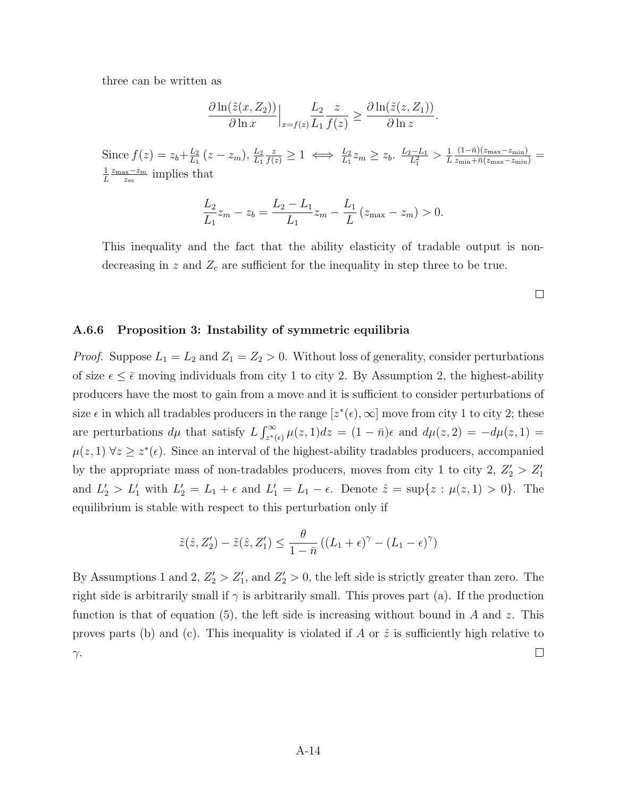three can be written as

$$
\frac{\partial \ln(\tilde{z}(x,Z_2))}{\partial \ln x}\Big|_{x=f(z)}\frac{L_2}{L_1}\frac{z}{f(z)} \geq \frac{\partial \ln(\tilde{z}(z,Z_1))}{\partial \ln z}.
$$

Since  $f(z) = z_b + \frac{L_2}{L_1}$  $\frac{L_{2}}{L_{1}}(z-z_{m}), \frac{L_{2}}{L_{1}}$  $\frac{z}{f(z)} \geq 1 \iff \frac{L_2}{L_1} z_m \geq z_b$ .  $\frac{L_2 - L_1}{L_1^2}$  $\frac{L_2-L_1}{L_1^2} > \frac{1}{L}$ L  $\frac{(1-\bar{n})(z_{\text{max}}-z_{\text{min}})}{z_{\text{min}}+\bar{n}(z_{\text{max}}-z_{\text{min}})}=$ 1 L  $z_{\text{max}}-z_m$  $rac{\alpha x - z_m}{z_m}$  implies that

$$
\frac{L_2}{L_1}z_m - z_b = \frac{L_2 - L_1}{L_1}z_m - \frac{L_1}{L}(z_{\text{max}} - z_m) > 0.
$$

This inequality and the fact that the ability elasticity of tradable output is nondecreasing in z and  $Z_c$  are sufficient for the inequality in step three to be true.

 $\Box$ 

#### A.6.6 Proposition 3: Instability of symmetric equilibria

*Proof.* Suppose  $L_1 = L_2$  and  $Z_1 = Z_2 > 0$ . Without loss of generality, consider perturbations of size  $\epsilon \leq \bar{\epsilon}$  moving individuals from city 1 to city 2. By Assumption 2, the highest-ability producers have the most to gain from a move and it is sufficient to consider perturbations of size  $\epsilon$  in which all tradables producers in the range  $[z^*(\epsilon), \infty]$  move from city 1 to city 2; these are perturbations  $d\mu$  that satisfy  $L \int_{z^*(\epsilon)}^{\infty} \mu(z, 1) dz = (1 - \bar{n})\epsilon$  and  $d\mu(z, 2) = -d\mu(z, 1) =$  $\mu(z,1)$   $\forall z \geq z^*(\epsilon)$ . Since an interval of the highest-ability tradables producers, accompanied by the appropriate mass of non-tradables producers, moves from city 1 to city 2,  $Z_2' > Z_1'$ and  $L'_2 > L'_1$  with  $L'_2 = L_1 + \epsilon$  and  $L'_1 = L_1 - \epsilon$ . Denote  $\hat{z} = \sup\{z : \mu(z, 1) > 0\}$ . The equilibrium is stable with respect to this perturbation only if

$$
\tilde{z}(\hat{z}, Z'_2) - \tilde{z}(\hat{z}, Z'_1) \le \frac{\theta}{1 - \bar{n}} \left( (L_1 + \epsilon)^\gamma - (L_1 - \epsilon)^\gamma \right)
$$

By Assumptions 1 and 2,  $Z'_2 > Z'_1$ , and  $Z'_2 > 0$ , the left side is strictly greater than zero. The right side is arbitrarily small if  $\gamma$  is arbitrarily small. This proves part (a). If the production function is that of equation (5), the left side is increasing without bound in A and z. This proves parts (b) and (c). This inequality is violated if A or  $\hat{z}$  is sufficiently high relative to  $\Box$  $γ.$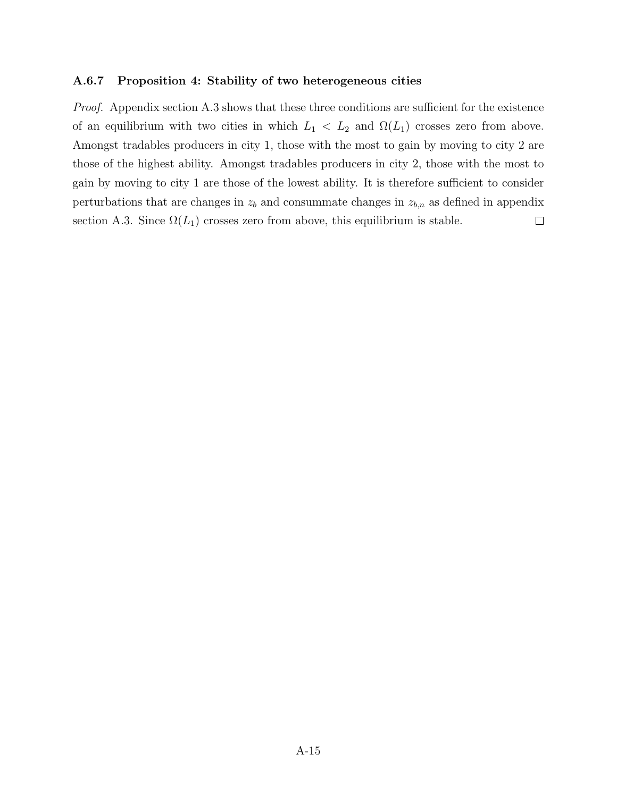#### A.6.7 Proposition 4: Stability of two heterogeneous cities

Proof. Appendix section A.3 shows that these three conditions are sufficient for the existence of an equilibrium with two cities in which  $L_1 < L_2$  and  $\Omega(L_1)$  crosses zero from above. Amongst tradables producers in city 1, those with the most to gain by moving to city 2 are those of the highest ability. Amongst tradables producers in city 2, those with the most to gain by moving to city 1 are those of the lowest ability. It is therefore sufficient to consider perturbations that are changes in  $z_b$  and consummate changes in  $z_{b,n}$  as defined in appendix section A.3. Since  $\Omega(L_1)$  crosses zero from above, this equilibrium is stable.  $\Box$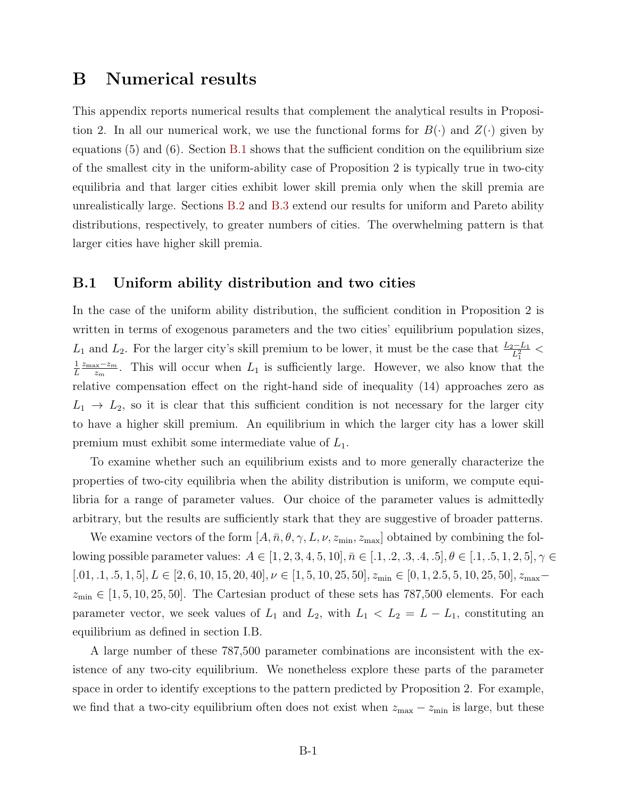## B Numerical results

This appendix reports numerical results that complement the analytical results in Proposition 2. In all our numerical work, we use the functional forms for  $B(\cdot)$  and  $Z(\cdot)$  given by equations  $(5)$  and  $(6)$ . Section [B.1](#page-15-0) shows that the sufficient condition on the equilibrium size of the smallest city in the uniform-ability case of Proposition 2 is typically true in two-city equilibria and that larger cities exhibit lower skill premia only when the skill premia are unrealistically large. Sections [B.2](#page-17-0) and [B.3](#page-19-0) extend our results for uniform and Pareto ability distributions, respectively, to greater numbers of cities. The overwhelming pattern is that larger cities have higher skill premia.

## <span id="page-15-0"></span>B.1 Uniform ability distribution and two cities

In the case of the uniform ability distribution, the sufficient condition in Proposition 2 is written in terms of exogenous parameters and the two cities' equilibrium population sizes,  $L_1$  and  $L_2$ . For the larger city's skill premium to be lower, it must be the case that  $\frac{L_2-L_1}{L_1^2}$  < 1 L  $z_{\text{max}}-z_m$  $\frac{d x - z_m}{d x_m}$ . This will occur when  $L_1$  is sufficiently large. However, we also know that the relative compensation effect on the right-hand side of inequality (14) approaches zero as  $L_1 \rightarrow L_2$ , so it is clear that this sufficient condition is not necessary for the larger city to have a higher skill premium. An equilibrium in which the larger city has a lower skill premium must exhibit some intermediate value of  $L_1$ .

To examine whether such an equilibrium exists and to more generally characterize the properties of two-city equilibria when the ability distribution is uniform, we compute equilibria for a range of parameter values. Our choice of the parameter values is admittedly arbitrary, but the results are sufficiently stark that they are suggestive of broader patterns.

We examine vectors of the form  $[A, \bar{n}, \theta, \gamma, L, \nu, z_{\min}, z_{\max}]$  obtained by combining the following possible parameter values:  $A \in [1, 2, 3, 4, 5, 10], \bar{n} \in [0.1, 0.2, 0.3, 0.4, 0.5], \theta \in [0.1, 0.5, 1, 2, 5], \gamma \in$  $[.01, .1, .5, 1, 5], L \in [2, 6, 10, 15, 20, 40], \nu \in [1, 5, 10, 25, 50], z_{\min} \in [0, 1, 2.5, 5, 10, 25, 50], z_{\max}$  $z_{\text{min}} \in [1, 5, 10, 25, 50]$ . The Cartesian product of these sets has 787,500 elements. For each parameter vector, we seek values of  $L_1$  and  $L_2$ , with  $L_1 < L_2 = L - L_1$ , constituting an equilibrium as defined in section I.B.

A large number of these 787,500 parameter combinations are inconsistent with the existence of any two-city equilibrium. We nonetheless explore these parts of the parameter space in order to identify exceptions to the pattern predicted by Proposition 2. For example, we find that a two-city equilibrium often does not exist when  $z_{\text{max}} - z_{\text{min}}$  is large, but these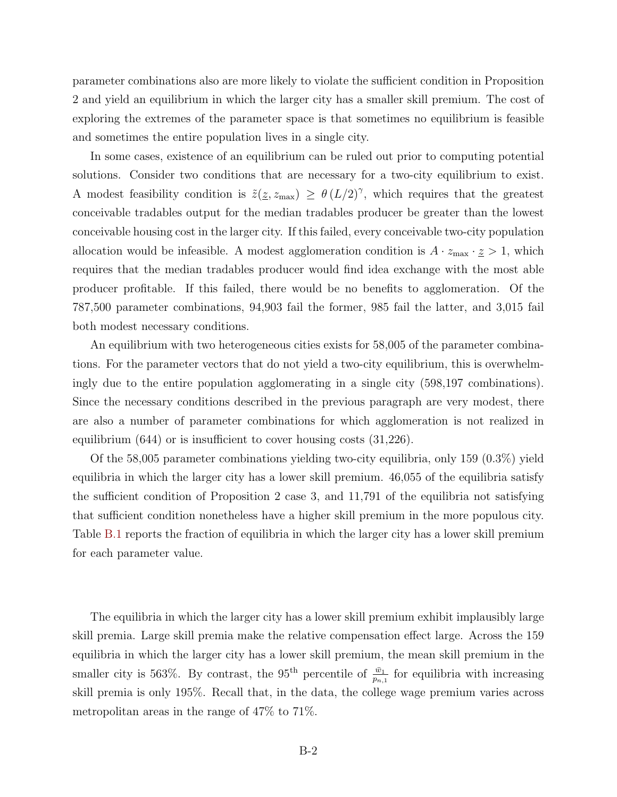parameter combinations also are more likely to violate the sufficient condition in Proposition 2 and yield an equilibrium in which the larger city has a smaller skill premium. The cost of exploring the extremes of the parameter space is that sometimes no equilibrium is feasible and sometimes the entire population lives in a single city.

In some cases, existence of an equilibrium can be ruled out prior to computing potential solutions. Consider two conditions that are necessary for a two-city equilibrium to exist. A modest feasibility condition is  $\tilde{z}(\underline{z}, z_{\text{max}}) \geq \theta(L/2)^{\gamma}$ , which requires that the greatest conceivable tradables output for the median tradables producer be greater than the lowest conceivable housing cost in the larger city. If this failed, every conceivable two-city population allocation would be infeasible. A modest agglomeration condition is  $A \cdot z_{\text{max}} \cdot \underline{z} > 1$ , which requires that the median tradables producer would find idea exchange with the most able producer profitable. If this failed, there would be no benefits to agglomeration. Of the 787,500 parameter combinations, 94,903 fail the former, 985 fail the latter, and 3,015 fail both modest necessary conditions.

An equilibrium with two heterogeneous cities exists for 58,005 of the parameter combinations. For the parameter vectors that do not yield a two-city equilibrium, this is overwhelmingly due to the entire population agglomerating in a single city (598,197 combinations). Since the necessary conditions described in the previous paragraph are very modest, there are also a number of parameter combinations for which agglomeration is not realized in equilibrium (644) or is insufficient to cover housing costs (31,226).

Of the 58,005 parameter combinations yielding two-city equilibria, only 159 (0.3%) yield equilibria in which the larger city has a lower skill premium. 46,055 of the equilibria satisfy the sufficient condition of Proposition 2 case 3, and 11,791 of the equilibria not satisfying that sufficient condition nonetheless have a higher skill premium in the more populous city. Table [B.1](#page-17-1) reports the fraction of equilibria in which the larger city has a lower skill premium for each parameter value.

The equilibria in which the larger city has a lower skill premium exhibit implausibly large skill premia. Large skill premia make the relative compensation effect large. Across the 159 equilibria in which the larger city has a lower skill premium, the mean skill premium in the smaller city is 563%. By contrast, the 95<sup>th</sup> percentile of  $\frac{\bar{w}_1}{p_{n,1}}$  for equilibria with increasing skill premia is only 195%. Recall that, in the data, the college wage premium varies across metropolitan areas in the range of 47% to 71%.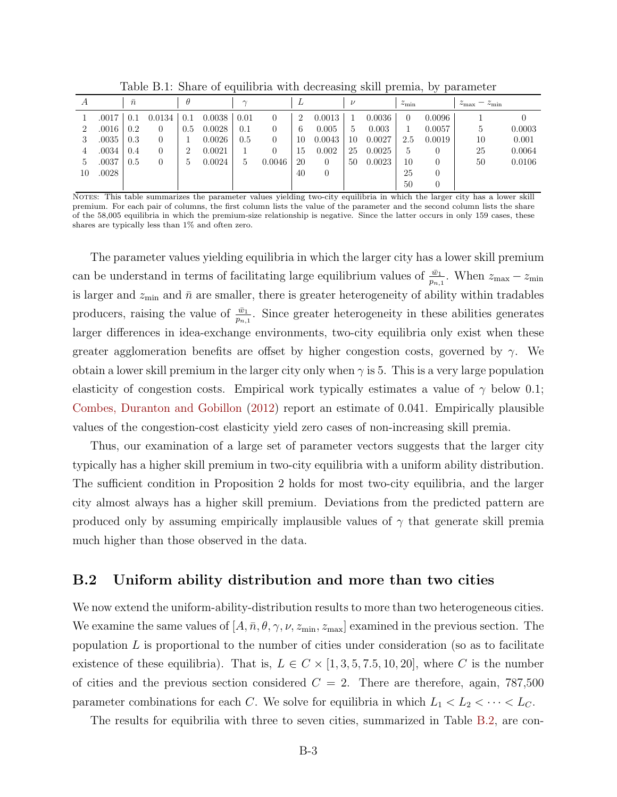| A  |       | $\bar{n}$ |        | $\theta$ |        | $\sim$ |        | ⊥              |          | $\nu$      |        | $z_{\rm min}$ |          | $z_{\rm max} - z_{\rm min}$ |        |
|----|-------|-----------|--------|----------|--------|--------|--------|----------------|----------|------------|--------|---------------|----------|-----------------------------|--------|
|    | .0017 | 0.1       | 0.0134 | 0.1      | 0.0038 | 0.01   | 0      | $\overline{2}$ | 0.0013   |            | 0.0036 | $\theta$      | 0.0096   |                             |        |
|    | .0016 | 0.2       |        | 0.5      | 0.0028 | 0.1    | 0      | 6              | 0.005    | $\ddot{ }$ | 0.003  |               | 0.0057   | 5.                          | 0.0003 |
|    | .0035 | 0.3       |        |          | 0.0026 | 0.5    | 0      | 10             | 0.0043   | 10         | 0.0027 | 2.5           | 0.0019   | 10                          | 0.001  |
|    | .0034 | 0.4       |        | 2        | 0.0021 |        | 0      | 15             | 0.002    | 25         | 0.0025 | 5             | 0        | 25                          | 0.0064 |
| Ğ. | .0037 | 0.5       |        | 5.       | 0.0024 | b.     | 0.0046 | 20             | $\theta$ | 50         | 0.0023 | 10            | 0        | 50                          | 0.0106 |
| 10 | .0028 |           |        |          |        |        |        | 40             | $\theta$ |            |        | 25            | $\theta$ |                             |        |
|    |       |           |        |          |        |        |        |                |          |            |        | 50            | $\theta$ |                             |        |

<span id="page-17-1"></span>Table B.1: Share of equilibria with decreasing skill premia, by parameter

Notes: This table summarizes the parameter values yielding two-city equilibria in which the larger city has a lower skill premium. For each pair of columns, the first column lists the value of the parameter and the second column lists the share of the 58,005 equilibria in which the premium-size relationship is negative. Since the latter occurs in only 159 cases, these shares are typically less than 1% and often zero.

The parameter values yielding equilibria in which the larger city has a lower skill premium can be understand in terms of facilitating large equilibrium values of  $\frac{\bar{w}_1}{p_{n,1}}$ . When  $z_{\text{max}} - z_{\text{min}}$ is larger and  $z_{\text{min}}$  and  $\bar{n}$  are smaller, there is greater heterogeneity of ability within tradables producers, raising the value of  $\frac{\bar{w}_1}{p_{n,1}}$ . Since greater heterogeneity in these abilities generates larger differences in idea-exchange environments, two-city equilibria only exist when these greater agglomeration benefits are offset by higher congestion costs, governed by  $\gamma$ . We obtain a lower skill premium in the larger city only when  $\gamma$  is 5. This is a very large population elasticity of congestion costs. Empirical work typically estimates a value of  $\gamma$  below 0.1; [Combes, Duranton and Gobillon](#page-24-6) [\(2012\)](#page-24-6) report an estimate of 0.041. Empirically plausible values of the congestion-cost elasticity yield zero cases of non-increasing skill premia.

Thus, our examination of a large set of parameter vectors suggests that the larger city typically has a higher skill premium in two-city equilibria with a uniform ability distribution. The sufficient condition in Proposition 2 holds for most two-city equilibria, and the larger city almost always has a higher skill premium. Deviations from the predicted pattern are produced only by assuming empirically implausible values of  $\gamma$  that generate skill premia much higher than those observed in the data.

## <span id="page-17-0"></span>B.2 Uniform ability distribution and more than two cities

We now extend the uniform-ability-distribution results to more than two heterogeneous cities. We examine the same values of  $[A, \bar{n}, \theta, \gamma, \nu, z_{\min}, z_{\max}]$  examined in the previous section. The population  $L$  is proportional to the number of cities under consideration (so as to facilitate existence of these equilibria). That is,  $L \in C \times [1, 3, 5, 7.5, 10, 20]$ , where C is the number of cities and the previous section considered  $C = 2$ . There are therefore, again, 787,500 parameter combinations for each C. We solve for equilibria in which  $L_1 < L_2 < \cdots < L_C$ .

The results for equibrilia with three to seven cities, summarized in Table [B.2,](#page-18-0) are con-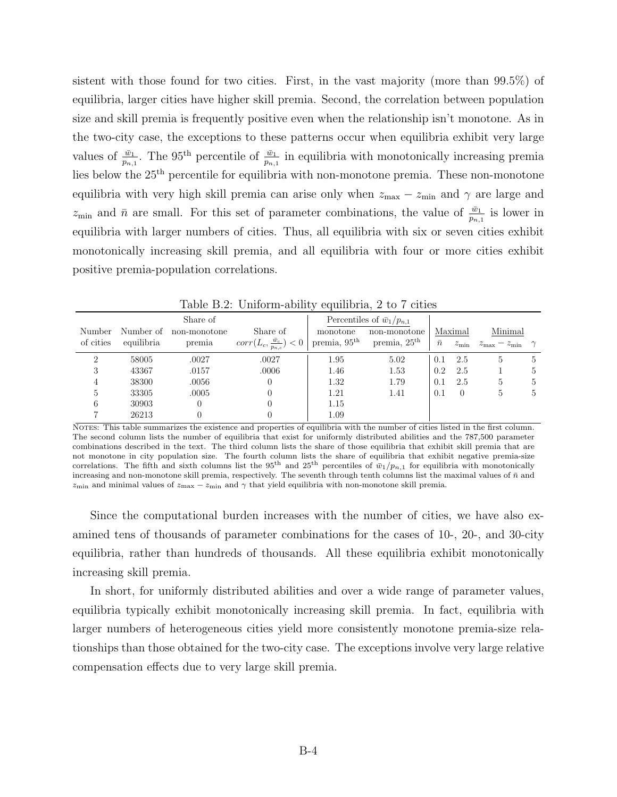sistent with those found for two cities. First, in the vast majority (more than 99.5%) of equilibria, larger cities have higher skill premia. Second, the correlation between population size and skill premia is frequently positive even when the relationship isn't monotone. As in the two-city case, the exceptions to these patterns occur when equilibria exhibit very large values of  $\frac{\bar{w}_1}{p_{n,1}}$ . The 95<sup>th</sup> percentile of  $\frac{\bar{w}_1}{p_{n,1}}$  in equilibria with monotonically increasing premia lies below the 25th percentile for equilibria with non-monotone premia. These non-monotone equilibria with very high skill premia can arise only when  $z_{\text{max}} - z_{\text{min}}$  and  $\gamma$  are large and  $z_{\min}$  and  $\bar{n}$  are small. For this set of parameter combinations, the value of  $\frac{\bar{w}_1}{p_{n,1}}$  is lower in equilibria with larger numbers of cities. Thus, all equilibria with six or seven cities exhibit monotonically increasing skill premia, and all equilibria with four or more cities exhibit positive premia-population correlations.

|                     |           |            |              |                                            | $\cdot$                            |                          |           |               |                                                |                |
|---------------------|-----------|------------|--------------|--------------------------------------------|------------------------------------|--------------------------|-----------|---------------|------------------------------------------------|----------------|
| Share of            |           |            |              |                                            | Percentiles of $\bar{w}_1/p_{n,1}$ |                          |           |               |                                                |                |
| Number of<br>Number |           |            | non-monotone | Share of                                   | monotone                           | non-monotone             | Maximal   |               | Minimal                                        |                |
|                     | of cities | equilibria | premia       | $corr(L_c, \frac{\bar{w}_c}{p_{n,c}}) < 0$ | premia, $95th$                     | premia, 25 <sup>th</sup> | $\bar{n}$ | $z_{\rm min}$ | $z_{\text{max}} - z_{\text{min}} \quad \gamma$ |                |
|                     | 2         | 58005      | .0027        | .0027                                      | 1.95                               | 5.02                     | 0.1       | 2.5           | 5                                              | $\overline{5}$ |
|                     | 3         | 43367      | .0157        | .0006                                      | 1.46                               | 1.53                     | 0.2       | 2.5           |                                                | 5              |
|                     | 4         | 38300      | .0056        |                                            | 1.32                               | 1.79                     | 0.1       | 2.5           | 5                                              | 5              |
|                     | 5.        | 33305      | .0005        |                                            | 1.21                               | 1.41                     | 0.1       | $\theta$      | $\mathcal{D}$                                  | 5              |
|                     | 6         | 30903      | 0            |                                            | 1.15                               |                          |           |               |                                                |                |
|                     |           | 26213      | 0            |                                            | 1.09                               |                          |           |               |                                                |                |
|                     |           |            |              |                                            |                                    |                          |           |               |                                                |                |

<span id="page-18-0"></span>Table B.2: Uniform-ability equilibria, 2 to 7 cities

Notes: This table summarizes the existence and properties of equilibria with the number of cities listed in the first column. The second column lists the number of equilibria that exist for uniformly distributed abilities and the 787,500 parameter combinations described in the text. The third column lists the share of those equilibria that exhibit skill premia that are not monotone in city population size. The fourth column lists the share of equilibria that exhibit negative premia-size correlations. The fifth and sixth columns list the 95<sup>th</sup> and 25<sup>th</sup> percentiles of  $\bar{w}_1/p_{n,1}$  for equilibria with monotonically increasing and non-monotone skill premia, respectively. The seventh through tenth columns list the maximal values of  $\bar{n}$  and  $z_{\text{min}}$  and minimal values of  $z_{\text{max}} - z_{\text{min}}$  and  $\gamma$  that yield equilibria with non-monotone skill premia.

Since the computational burden increases with the number of cities, we have also examined tens of thousands of parameter combinations for the cases of 10-, 20-, and 30-city equilibria, rather than hundreds of thousands. All these equilibria exhibit monotonically increasing skill premia.

In short, for uniformly distributed abilities and over a wide range of parameter values, equilibria typically exhibit monotonically increasing skill premia. In fact, equilibria with larger numbers of heterogeneous cities yield more consistently monotone premia-size relationships than those obtained for the two-city case. The exceptions involve very large relative compensation effects due to very large skill premia.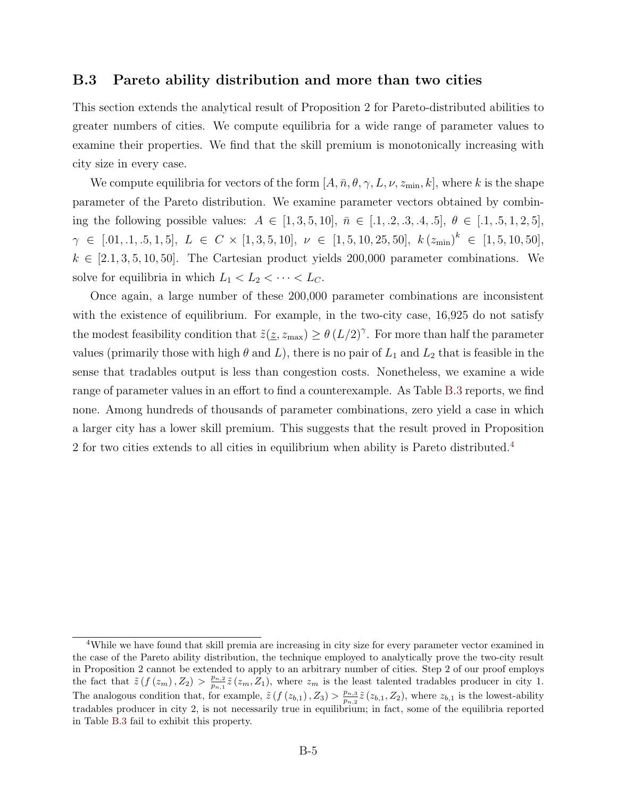### <span id="page-19-0"></span>B.3 Pareto ability distribution and more than two cities

This section extends the analytical result of Proposition 2 for Pareto-distributed abilities to greater numbers of cities. We compute equilibria for a wide range of parameter values to examine their properties. We find that the skill premium is monotonically increasing with city size in every case.

We compute equilibria for vectors of the form  $[A, \bar{n}, \theta, \gamma, L, \nu, z_{\min}, k]$ , where k is the shape parameter of the Pareto distribution. We examine parameter vectors obtained by combining the following possible values:  $A \in [1, 3, 5, 10]$ ,  $\bar{n} \in [0.1, 0.2, 0.3, 0.4, 0.5]$ ,  $\theta \in [0.1, 0.5, 1, 2, 5]$ ,  $\gamma \in [0.1, 1, 0.5, 1, 5], L \in C \times [1, 3, 5, 10], \nu \in [1, 5, 10, 25, 50], k (z_{\min})^k \in [1, 5, 10, 50],$  $k \in [2.1, 3, 5, 10, 50]$ . The Cartesian product yields 200,000 parameter combinations. We solve for equilibria in which  $L_1 < L_2 < \cdots < L_C$ .

Once again, a large number of these 200,000 parameter combinations are inconsistent with the existence of equilibrium. For example, in the two-city case, 16,925 do not satisfy the modest feasibility condition that  $\tilde{z}(\underline{z}, z_{\text{max}}) \geq \theta (L/2)^{\gamma}$ . For more than half the parameter values (primarily those with high  $\theta$  and  $L$ ), there is no pair of  $L_1$  and  $L_2$  that is feasible in the sense that tradables output is less than congestion costs. Nonetheless, we examine a wide range of parameter values in an effort to find a counterexample. As Table [B.3](#page-20-0) reports, we find none. Among hundreds of thousands of parameter combinations, zero yield a case in which a larger city has a lower skill premium. This suggests that the result proved in Proposition 2 for two cities extends to all cities in equilibrium when ability is Pareto distributed.<sup>[4](#page-19-1)</sup>

<span id="page-19-1"></span><sup>4</sup>While we have found that skill premia are increasing in city size for every parameter vector examined in the case of the Pareto ability distribution, the technique employed to analytically prove the two-city result in Proposition 2 cannot be extended to apply to an arbitrary number of cities. Step 2 of our proof employs the fact that  $\tilde{z} (f (z_m), Z_2) > \frac{p_{n,2}}{p_{n,1}}$  $\frac{p_{n,2}}{p_{n,1}}\tilde{z}(z_m, Z_1)$ , where  $z_m$  is the least talented tradables producer in city 1. The analogous condition that, for example,  $\tilde{z} (f(z_{b,1}), Z_3) > \frac{p_{n,3}}{p_{n,3}}$  $\frac{p_{n,3}}{p_{n,2}}\tilde{z}(z_{b,1}, Z_2)$ , where  $z_{b,1}$  is the lowest-ability tradables producer in city 2, is not necessarily true in equilibrium; in fact, some of the equilibria reported in Table [B.3](#page-20-0) fail to exhibit this property.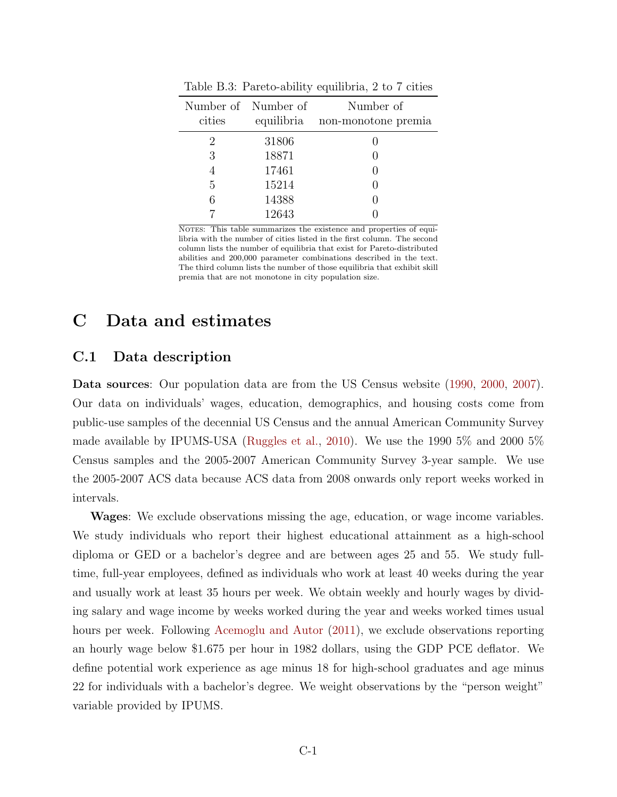| cities         | Number of Number of | Number of<br>equilibria non-monotone premia |
|----------------|---------------------|---------------------------------------------|
|                |                     |                                             |
| $\overline{2}$ | 31806<br>18871      |                                             |
| 3              | 17461               |                                             |
| 5              | 15214               |                                             |
|                | 14388               |                                             |
|                | 12643               |                                             |

<span id="page-20-0"></span>Table B.3: Pareto-ability equilibria, 2 to 7 cities

NOTES: This table summarizes the existence and properties of equilibria with the number of cities listed in the first column. The second column lists the number of equilibria that exist for Pareto-distributed abilities and 200,000 parameter combinations described in the text. The third column lists the number of those equilibria that exhibit skill premia that are not monotone in city population size.

## <span id="page-20-1"></span>C Data and estimates

## C.1 Data description

Data sources: Our population data are from the US Census website [\(1990,](http://www.census.gov/population/www/censusdata/files/90den_ma.txt) [2000,](http://www.census.gov/population/cen2000/phc-t3/tab01.txt) [2007\)](http://www.census.gov/popest/data/metro/totals/2009/tables/CBSA-EST2009-01.csv). Our data on individuals' wages, education, demographics, and housing costs come from public-use samples of the decennial US Census and the annual American Community Survey made available by IPUMS-USA [\(Ruggles et al.,](#page-24-7) [2010\)](#page-24-7). We use the 1990 5% and 2000 5% Census samples and the 2005-2007 American Community Survey 3-year sample. We use the 2005-2007 ACS data because ACS data from 2008 onwards only report weeks worked in intervals.

Wages: We exclude observations missing the age, education, or wage income variables. We study individuals who report their highest educational attainment as a high-school diploma or GED or a bachelor's degree and are between ages 25 and 55. We study fulltime, full-year employees, defined as individuals who work at least 40 weeks during the year and usually work at least 35 hours per week. We obtain weekly and hourly wages by dividing salary and wage income by weeks worked during the year and weeks worked times usual hours per week. Following [Acemoglu and Autor](#page-24-8) [\(2011\)](#page-24-8), we exclude observations reporting an hourly wage below \$1.675 per hour in 1982 dollars, using the GDP PCE deflator. We define potential work experience as age minus 18 for high-school graduates and age minus 22 for individuals with a bachelor's degree. We weight observations by the "person weight" variable provided by IPUMS.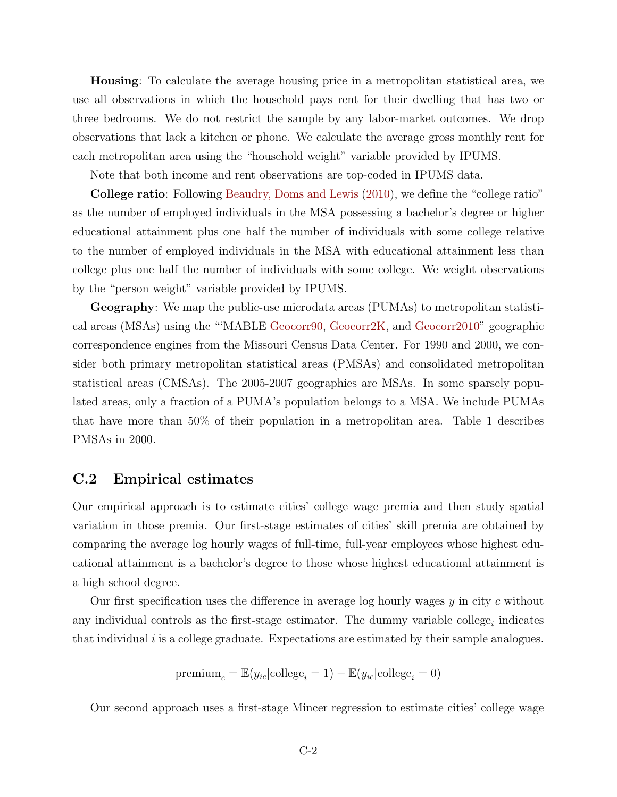Housing: To calculate the average housing price in a metropolitan statistical area, we use all observations in which the household pays rent for their dwelling that has two or three bedrooms. We do not restrict the sample by any labor-market outcomes. We drop observations that lack a kitchen or phone. We calculate the average gross monthly rent for each metropolitan area using the "household weight" variable provided by IPUMS.

Note that both income and rent observations are top-coded in IPUMS data.

College ratio: Following [Beaudry, Doms and Lewis](#page-24-9) [\(2010\)](#page-24-9), we define the "college ratio" as the number of employed individuals in the MSA possessing a bachelor's degree or higher educational attainment plus one half the number of individuals with some college relative to the number of employed individuals in the MSA with educational attainment less than college plus one half the number of individuals with some college. We weight observations by the "person weight" variable provided by IPUMS.

Geography: We map the public-use microdata areas (PUMAs) to metropolitan statistical areas (MSAs) using the "'MABLE [Geocorr90,](http://mcdc.missouri.edu/websas/geocorr90.shtml) [Geocorr2K,](http://mcdc.missouri.edu/websas/geocorr2k.html) and [Geocorr2010"](http://mcdc1.missouri.edu/MableGeocorr/geocorr2010.html) geographic correspondence engines from the Missouri Census Data Center. For 1990 and 2000, we consider both primary metropolitan statistical areas (PMSAs) and consolidated metropolitan statistical areas (CMSAs). The 2005-2007 geographies are MSAs. In some sparsely populated areas, only a fraction of a PUMA's population belongs to a MSA. We include PUMAs that have more than 50% of their population in a metropolitan area. Table 1 describes PMSAs in 2000.

## C.2 Empirical estimates

Our empirical approach is to estimate cities' college wage premia and then study spatial variation in those premia. Our first-stage estimates of cities' skill premia are obtained by comparing the average log hourly wages of full-time, full-year employees whose highest educational attainment is a bachelor's degree to those whose highest educational attainment is a high school degree.

Our first specification uses the difference in average log hourly wages  $y$  in city c without any individual controls as the first-stage estimator. The dummy variable college<sub>i</sub> indicates that individual  $i$  is a college graduate. Expectations are estimated by their sample analogues.

$$
\mathrm{premium}_c = \mathbb{E}(y_{ic}|\mathrm{college}_i=1) - \mathbb{E}(y_{ic}|\mathrm{college}_i=0)
$$

Our second approach uses a first-stage Mincer regression to estimate cities' college wage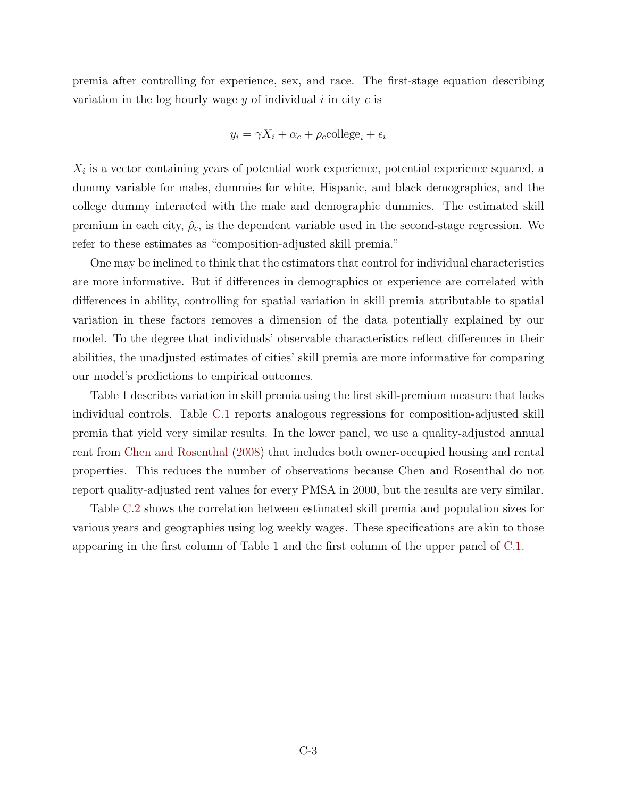premia after controlling for experience, sex, and race. The first-stage equation describing variation in the log hourly wage  $y$  of individual  $i$  in city  $c$  is

$$
y_i = \gamma X_i + \alpha_c + \rho_c
$$
college<sub>i</sub> +  $\epsilon_i$ 

 $X_i$  is a vector containing years of potential work experience, potential experience squared, a dummy variable for males, dummies for white, Hispanic, and black demographics, and the college dummy interacted with the male and demographic dummies. The estimated skill premium in each city,  $\hat{\rho}_c$ , is the dependent variable used in the second-stage regression. We refer to these estimates as "composition-adjusted skill premia."

One may be inclined to think that the estimators that control for individual characteristics are more informative. But if differences in demographics or experience are correlated with differences in ability, controlling for spatial variation in skill premia attributable to spatial variation in these factors removes a dimension of the data potentially explained by our model. To the degree that individuals' observable characteristics reflect differences in their abilities, the unadjusted estimates of cities' skill premia are more informative for comparing our model's predictions to empirical outcomes.

Table 1 describes variation in skill premia using the first skill-premium measure that lacks individual controls. Table [C.1](#page-17-1) reports analogous regressions for composition-adjusted skill premia that yield very similar results. In the lower panel, we use a quality-adjusted annual rent from [Chen and Rosenthal](#page-24-10) [\(2008\)](#page-24-10) that includes both owner-occupied housing and rental properties. This reduces the number of observations because Chen and Rosenthal do not report quality-adjusted rent values for every PMSA in 2000, but the results are very similar.

Table [C.2](#page-18-0) shows the correlation between estimated skill premia and population sizes for various years and geographies using log weekly wages. These specifications are akin to those appearing in the first column of Table 1 and the first column of the upper panel of [C.1.](#page-17-1)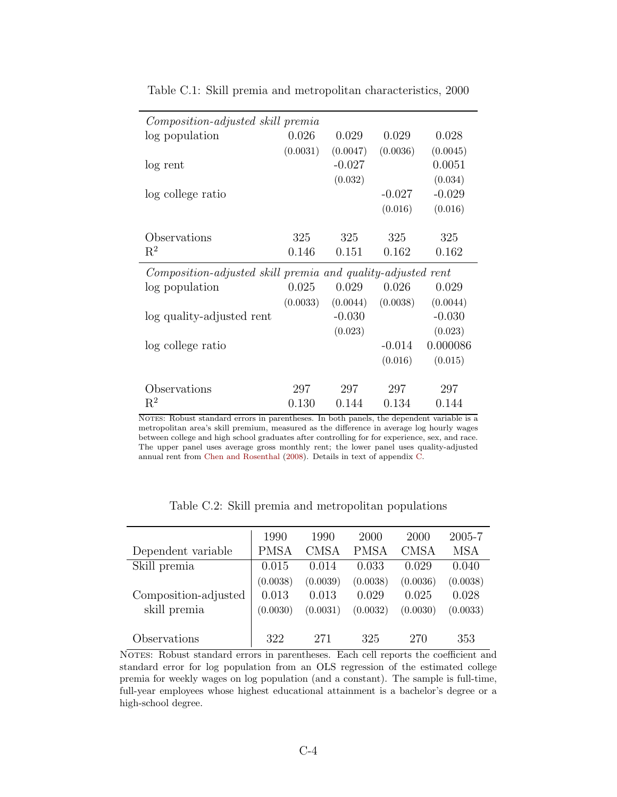| <i>Composition-adjusted skill premia</i>                    |          |          |          |          |  |  |  |  |  |
|-------------------------------------------------------------|----------|----------|----------|----------|--|--|--|--|--|
| log population                                              | 0.026    | 0.029    | 0.029    | 0.028    |  |  |  |  |  |
|                                                             | (0.0031) | (0.0047) | (0.0036) | (0.0045) |  |  |  |  |  |
| log rent                                                    |          | $-0.027$ |          | 0.0051   |  |  |  |  |  |
|                                                             |          | (0.032)  |          | (0.034)  |  |  |  |  |  |
| log college ratio                                           |          |          | $-0.027$ | $-0.029$ |  |  |  |  |  |
|                                                             |          |          | (0.016)  | (0.016)  |  |  |  |  |  |
|                                                             |          |          |          |          |  |  |  |  |  |
| Observations                                                | 325      | 325      | 325      | 325      |  |  |  |  |  |
| $\mathrm{R}^2$                                              | 0.146    | 0.151    | 0.162    | 0.162    |  |  |  |  |  |
| Composition-adjusted skill premia and quality-adjusted rent |          |          |          |          |  |  |  |  |  |
|                                                             |          |          |          |          |  |  |  |  |  |
| log population                                              | 0.025    | 0.029    | 0.026    | 0.029    |  |  |  |  |  |
|                                                             | (0.0033) | (0.0044) | (0.0038) | (0.0044) |  |  |  |  |  |
| log quality-adjusted rent                                   |          | $-0.030$ |          | $-0.030$ |  |  |  |  |  |
|                                                             |          | (0.023)  |          | (0.023)  |  |  |  |  |  |
| log college ratio                                           |          |          | $-0.014$ | 0.000086 |  |  |  |  |  |
|                                                             |          |          | (0.016)  | (0.015)  |  |  |  |  |  |
|                                                             |          |          |          |          |  |  |  |  |  |
| Observations                                                | 297      | 297      | 297      | 297      |  |  |  |  |  |

Table C.1: Skill premia and metropolitan characteristics, 2000

NOTES: Robust standard errors in parentheses. In both panels, the dependent variable is a metropolitan area's skill premium, measured as the difference in average log hourly wages between college and high school graduates after controlling for for experience, sex, and race. The upper panel uses average gross monthly rent; the lower panel uses quality-adjusted annual rent from [Chen and Rosenthal](#page-24-10) [\(2008\)](#page-24-10). Details in text of appendix [C.](#page-20-1)

|                      | 1990        | 1990        | 2000        | 2000        | 2005-7     |
|----------------------|-------------|-------------|-------------|-------------|------------|
| Dependent variable   | <b>PMSA</b> | <b>CMSA</b> | <b>PMSA</b> | <b>CMSA</b> | <b>MSA</b> |
| Skill premia         | 0.015       | 0.014       | 0.033       | 0.029       | 0.040      |
|                      | (0.0038)    | (0.0039)    | (0.0038)    | (0.0036)    | (0.0038)   |
| Composition-adjusted | 0.013       | 0.013       | 0.029       | 0.025       | 0.028      |
| skill premia         | (0.0030)    | (0.0031)    | (0.0032)    | (0.0030)    | (0.0033)   |
|                      |             |             |             |             |            |
| Observations         | 322         | 271         | 325         | 270         | 353        |

Table C.2: Skill premia and metropolitan populations

NOTES: Robust standard errors in parentheses. Each cell reports the coefficient and standard error for log population from an OLS regression of the estimated college premia for weekly wages on log population (and a constant). The sample is full-time, full-year employees whose highest educational attainment is a bachelor's degree or a high-school degree.